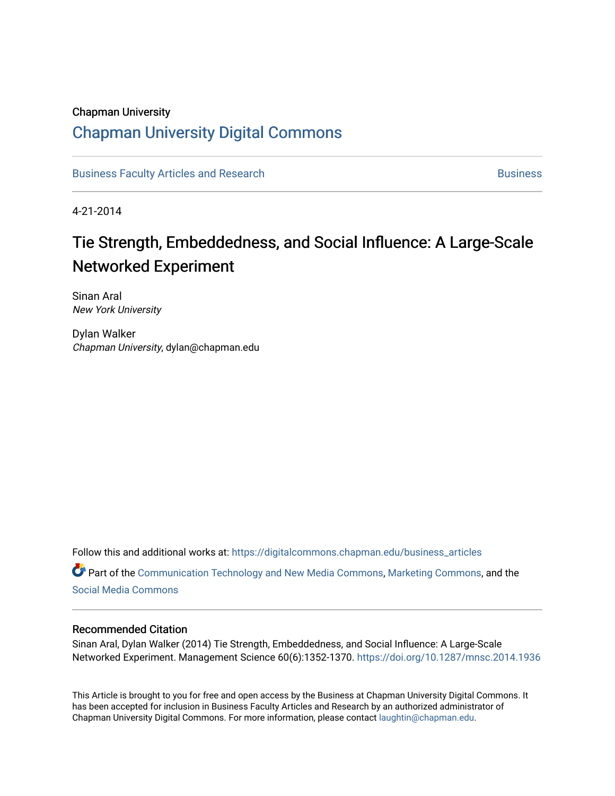## Chapman University

## [Chapman University Digital Commons](https://digitalcommons.chapman.edu/)

[Business Faculty Articles and Research](https://digitalcommons.chapman.edu/business_articles) [Business](https://digitalcommons.chapman.edu/business) **Business** Business

4-21-2014

# Tie Strength, Embeddedness, and Social Influence: A Large-Scale Networked Experiment

Sinan Aral New York University

Dylan Walker Chapman University, dylan@chapman.edu

Follow this and additional works at: [https://digitalcommons.chapman.edu/business\\_articles](https://digitalcommons.chapman.edu/business_articles?utm_source=digitalcommons.chapman.edu%2Fbusiness_articles%2F142&utm_medium=PDF&utm_campaign=PDFCoverPages)  Part of the [Communication Technology and New Media Commons,](https://network.bepress.com/hgg/discipline/327?utm_source=digitalcommons.chapman.edu%2Fbusiness_articles%2F142&utm_medium=PDF&utm_campaign=PDFCoverPages) [Marketing Commons](https://network.bepress.com/hgg/discipline/638?utm_source=digitalcommons.chapman.edu%2Fbusiness_articles%2F142&utm_medium=PDF&utm_campaign=PDFCoverPages), and the

[Social Media Commons](https://network.bepress.com/hgg/discipline/1249?utm_source=digitalcommons.chapman.edu%2Fbusiness_articles%2F142&utm_medium=PDF&utm_campaign=PDFCoverPages) 

## Recommended Citation

Sinan Aral, Dylan Walker (2014) Tie Strength, Embeddedness, and Social Influence: A Large-Scale Networked Experiment. Management Science 60(6):1352-1370. <https://doi.org/10.1287/mnsc.2014.1936>

This Article is brought to you for free and open access by the Business at Chapman University Digital Commons. It has been accepted for inclusion in Business Faculty Articles and Research by an authorized administrator of Chapman University Digital Commons. For more information, please contact [laughtin@chapman.edu](mailto:laughtin@chapman.edu).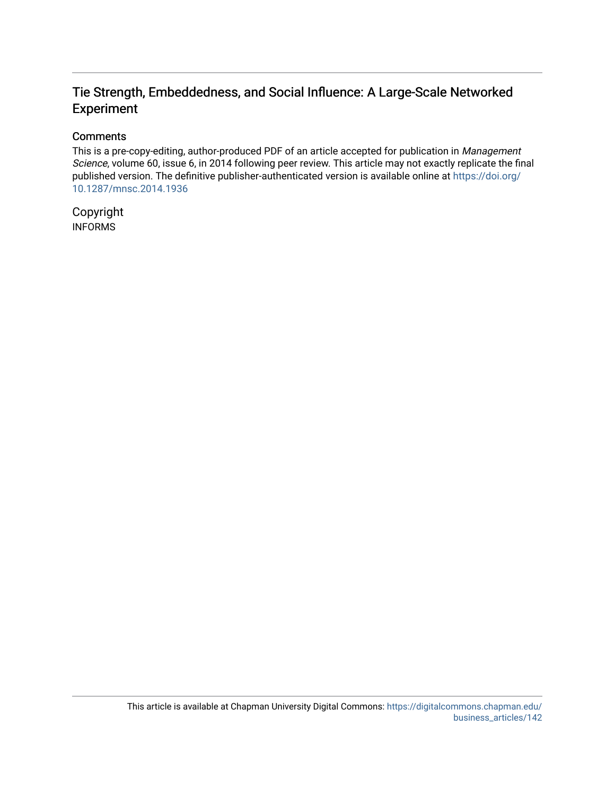## Tie Strength, Embeddedness, and Social Influence: A Large-Scale Networked Experiment

## **Comments**

This is a pre-copy-editing, author-produced PDF of an article accepted for publication in Management Science, volume 60, issue 6, in 2014 following peer review. This article may not exactly replicate the final published version. The definitive publisher-authenticated version is available online at [https://doi.org/](https://doi.org/10.1287/mnsc.2014.1936) [10.1287/mnsc.2014.1936](https://doi.org/10.1287/mnsc.2014.1936)

Copyright INFORMS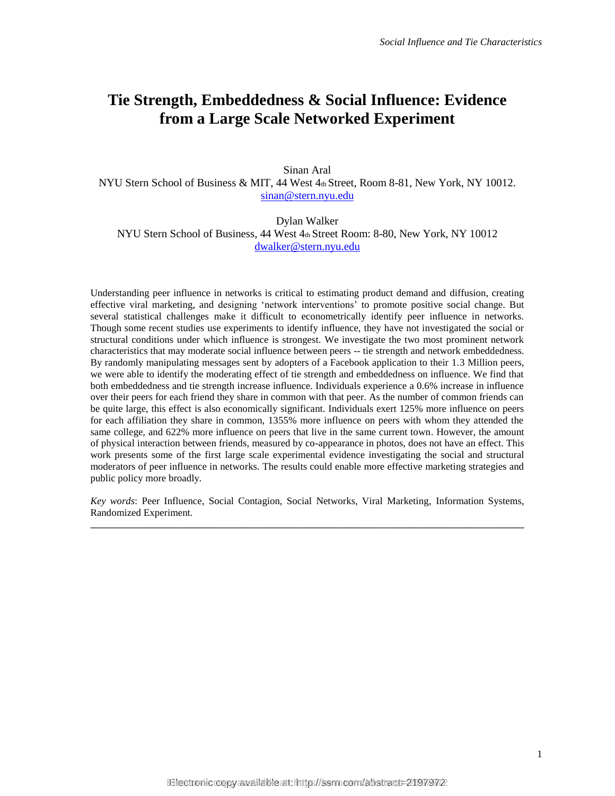## **Tie Strength, Embeddedness & Social Influence: Evidence from a Large Scale Networked Experiment**

Sinan Aral NYU Stern School of Business & MIT, 44 West 4th Street, Room 8-81, New York, NY 10012. [sinan@stern.nyu.edu](mailto:sinan@stern.nyu.edu)

Dylan Walker NYU Stern School of Business, 44 West 4th Street Room: 8-80, New York, NY 10012 [dwalker@stern.nyu.edu](mailto:dwalker@stern.nyu.edu)

Understanding peer influence in networks is critical to estimating product demand and diffusion, creating effective viral marketing, and designing 'network interventions' to promote positive social change. But several statistical challenges make it difficult to econometrically identify peer influence in networks. Though some recent studies use experiments to identify influence, they have not investigated the social or structural conditions under which influence is strongest. We investigate the two most prominent network characteristics that may moderate social influence between peers -- tie strength and network embeddedness. By randomly manipulating messages sent by adopters of a Facebook application to their 1.3 Million peers, we were able to identify the moderating effect of tie strength and embeddedness on influence. We find that both embeddedness and tie strength increase influence. Individuals experience a 0.6% increase in influence over their peers for each friend they share in common with that peer. As the number of common friends can be quite large, this effect is also economically significant. Individuals exert 125% more influence on peers for each affiliation they share in common, 1355% more influence on peers with whom they attended the same college, and 622% more influence on peers that live in the same current town. However, the amount of physical interaction between friends, measured by co-appearance in photos, does not have an effect. This work presents some of the first large scale experimental evidence investigating the social and structural moderators of peer influence in networks. The results could enable more effective marketing strategies and public policy more broadly.

*Key words*: Peer Influence, Social Contagion, Social Networks, Viral Marketing, Information Systems, Randomized Experiment. **\_\_\_\_\_\_\_\_\_\_\_\_\_\_\_\_\_\_\_\_\_\_\_\_\_\_\_\_\_\_\_\_\_\_\_\_\_\_\_\_\_\_\_\_\_\_\_\_\_\_\_\_\_\_\_\_\_\_\_\_\_\_\_\_\_\_\_\_\_\_\_\_\_\_\_\_\_\_\_\_\_\_\_\_\_\_\_\_\_\_\_\_\_\_\_\_**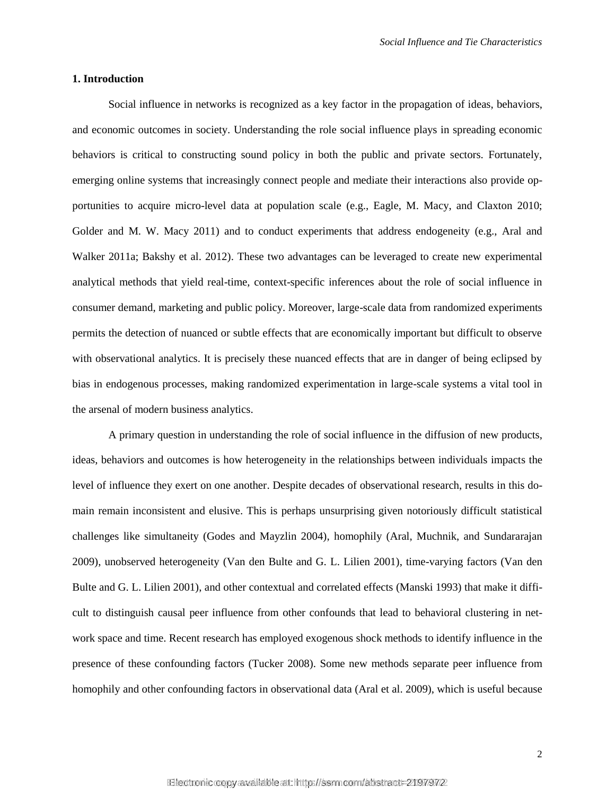#### **1. Introduction**

Social influence in networks is recognized as a key factor in the propagation of ideas, behaviors, and economic outcomes in society. Understanding the role social influence plays in spreading economic behaviors is critical to constructing sound policy in both the public and private sectors. Fortunately, emerging online systems that increasingly connect people and mediate their interactions also provide opportunities to acquire micro-level data at population scale (e.g., Eagle, M. Macy, and Claxton 2010; Golder and M. W. Macy 2011) and to conduct experiments that address endogeneity (e.g., Aral and Walker 2011a; Bakshy et al. 2012). These two advantages can be leveraged to create new experimental analytical methods that yield real-time, context-specific inferences about the role of social influence in consumer demand, marketing and public policy. Moreover, large-scale data from randomized experiments permits the detection of nuanced or subtle effects that are economically important but difficult to observe with observational analytics. It is precisely these nuanced effects that are in danger of being eclipsed by bias in endogenous processes, making randomized experimentation in large-scale systems a vital tool in the arsenal of modern business analytics.

A primary question in understanding the role of social influence in the diffusion of new products, ideas, behaviors and outcomes is how heterogeneity in the relationships between individuals impacts the level of influence they exert on one another. Despite decades of observational research, results in this domain remain inconsistent and elusive. This is perhaps unsurprising given notoriously difficult statistical challenges like simultaneity (Godes and Mayzlin 2004), homophily (Aral, Muchnik, and Sundararajan 2009), unobserved heterogeneity (Van den Bulte and G. L. Lilien 2001), time-varying factors (Van den Bulte and G. L. Lilien 2001), and other contextual and correlated effects (Manski 1993) that make it difficult to distinguish causal peer influence from other confounds that lead to behavioral clustering in network space and time. Recent research has employed exogenous shock methods to identify influence in the presence of these confounding factors (Tucker 2008). Some new methods separate peer influence from homophily and other confounding factors in observational data (Aral et al. 2009), which is useful because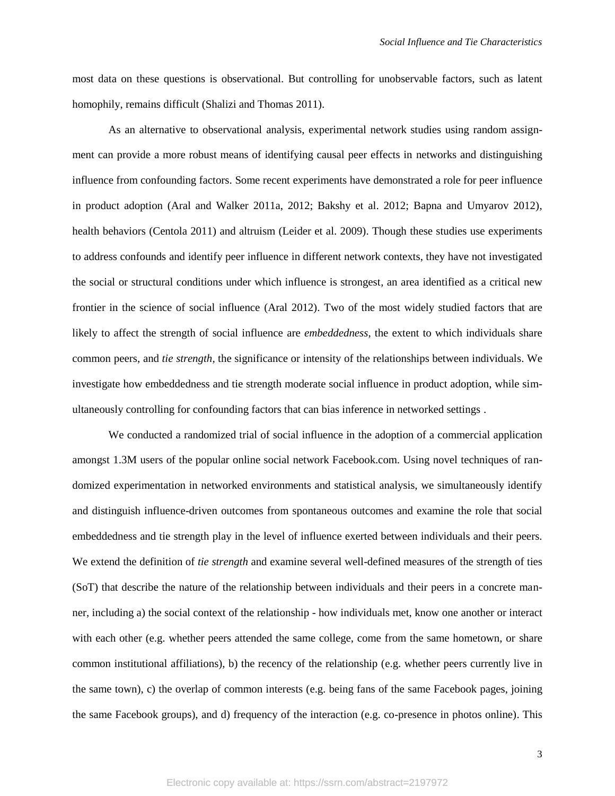most data on these questions is observational. But controlling for unobservable factors, such as latent homophily, remains difficult (Shalizi and Thomas 2011).

As an alternative to observational analysis, experimental network studies using random assignment can provide a more robust means of identifying causal peer effects in networks and distinguishing influence from confounding factors. Some recent experiments have demonstrated a role for peer influence in product adoption (Aral and Walker 2011a, 2012; Bakshy et al. 2012; Bapna and Umyarov 2012), health behaviors (Centola 2011) and altruism (Leider et al. 2009). Though these studies use experiments to address confounds and identify peer influence in different network contexts, they have not investigated the social or structural conditions under which influence is strongest, an area identified as a critical new frontier in the science of social influence (Aral 2012). Two of the most widely studied factors that are likely to affect the strength of social influence are *embeddedness*, the extent to which individuals share common peers, and *tie strength,* the significance or intensity of the relationships between individuals. We investigate how embeddedness and tie strength moderate social influence in product adoption, while simultaneously controlling for confounding factors that can bias inference in networked settings .

We conducted a randomized trial of social influence in the adoption of a commercial application amongst 1.3M users of the popular online social network Facebook.com. Using novel techniques of randomized experimentation in networked environments and statistical analysis, we simultaneously identify and distinguish influence-driven outcomes from spontaneous outcomes and examine the role that social embeddedness and tie strength play in the level of influence exerted between individuals and their peers. We extend the definition of *tie strength* and examine several well-defined measures of the strength of ties (SoT) that describe the nature of the relationship between individuals and their peers in a concrete manner, including a) the social context of the relationship - how individuals met, know one another or interact with each other (e.g. whether peers attended the same college, come from the same hometown, or share common institutional affiliations), b) the recency of the relationship (e.g. whether peers currently live in the same town), c) the overlap of common interests (e.g. being fans of the same Facebook pages, joining the same Facebook groups), and d) frequency of the interaction (e.g. co-presence in photos online). This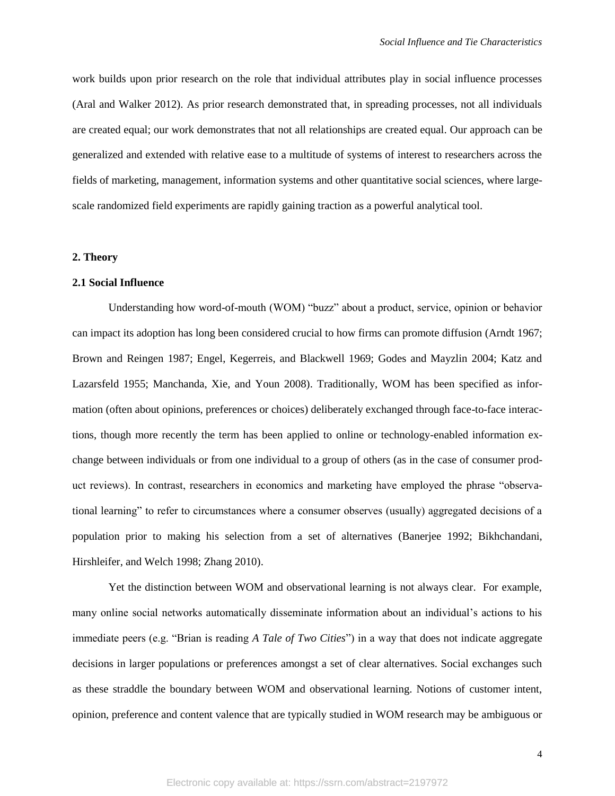work builds upon prior research on the role that individual attributes play in social influence processes (Aral and Walker 2012). As prior research demonstrated that, in spreading processes, not all individuals are created equal; our work demonstrates that not all relationships are created equal. Our approach can be generalized and extended with relative ease to a multitude of systems of interest to researchers across the fields of marketing, management, information systems and other quantitative social sciences, where largescale randomized field experiments are rapidly gaining traction as a powerful analytical tool.

#### **2. Theory**

### **2.1 Social Influence**

Understanding how word-of-mouth (WOM) "buzz" about a product, service, opinion or behavior can impact its adoption has long been considered crucial to how firms can promote diffusion (Arndt 1967; Brown and Reingen 1987; Engel, Kegerreis, and Blackwell 1969; Godes and Mayzlin 2004; Katz and Lazarsfeld 1955; Manchanda, Xie, and Youn 2008). Traditionally, WOM has been specified as information (often about opinions, preferences or choices) deliberately exchanged through face-to-face interactions, though more recently the term has been applied to online or technology-enabled information exchange between individuals or from one individual to a group of others (as in the case of consumer product reviews). In contrast, researchers in economics and marketing have employed the phrase "observational learning" to refer to circumstances where a consumer observes (usually) aggregated decisions of a population prior to making his selection from a set of alternatives (Banerjee 1992; Bikhchandani, Hirshleifer, and Welch 1998; Zhang 2010).

Yet the distinction between WOM and observational learning is not always clear. For example, many online social networks automatically disseminate information about an individual's actions to his immediate peers (e.g. "Brian is reading *A Tale of Two Cities*") in a way that does not indicate aggregate decisions in larger populations or preferences amongst a set of clear alternatives. Social exchanges such as these straddle the boundary between WOM and observational learning. Notions of customer intent, opinion, preference and content valence that are typically studied in WOM research may be ambiguous or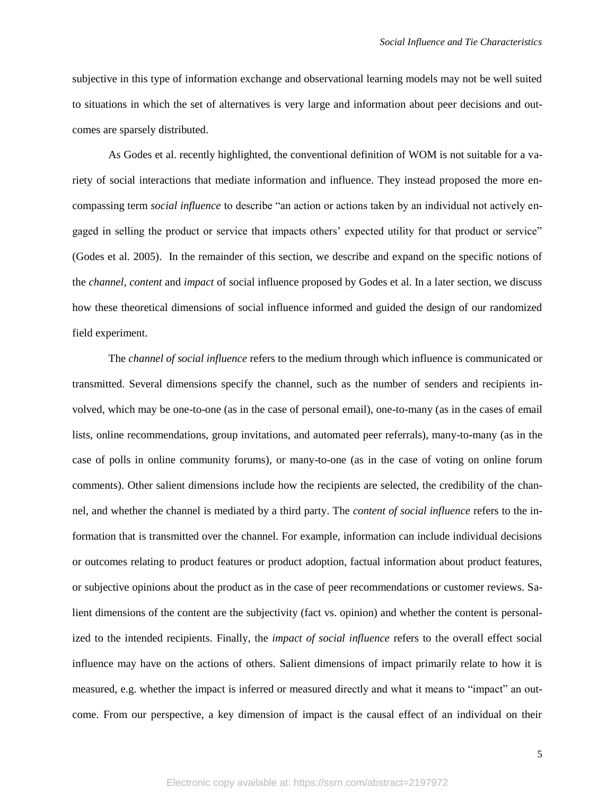subjective in this type of information exchange and observational learning models may not be well suited to situations in which the set of alternatives is very large and information about peer decisions and outcomes are sparsely distributed.

As Godes et al. recently highlighted, the conventional definition of WOM is not suitable for a variety of social interactions that mediate information and influence. They instead proposed the more encompassing term *social influence* to describe "an action or actions taken by an individual not actively engaged in selling the product or service that impacts others' expected utility for that product or service" (Godes et al. 2005). In the remainder of this section, we describe and expand on the specific notions of the *channel*, *content* and *impact* of social influence proposed by Godes et al. In a later section, we discuss how these theoretical dimensions of social influence informed and guided the design of our randomized field experiment.

The *channel of social influence* refers to the medium through which influence is communicated or transmitted. Several dimensions specify the channel, such as the number of senders and recipients involved, which may be one-to-one (as in the case of personal email), one-to-many (as in the cases of email lists, online recommendations, group invitations, and automated peer referrals), many-to-many (as in the case of polls in online community forums), or many-to-one (as in the case of voting on online forum comments). Other salient dimensions include how the recipients are selected, the credibility of the channel, and whether the channel is mediated by a third party. The *content of social influence* refers to the information that is transmitted over the channel. For example, information can include individual decisions or outcomes relating to product features or product adoption, factual information about product features, or subjective opinions about the product as in the case of peer recommendations or customer reviews. Salient dimensions of the content are the subjectivity (fact vs. opinion) and whether the content is personalized to the intended recipients. Finally, the *impact of social influence* refers to the overall effect social influence may have on the actions of others. Salient dimensions of impact primarily relate to how it is measured, e.g. whether the impact is inferred or measured directly and what it means to "impact" an outcome. From our perspective, a key dimension of impact is the causal effect of an individual on their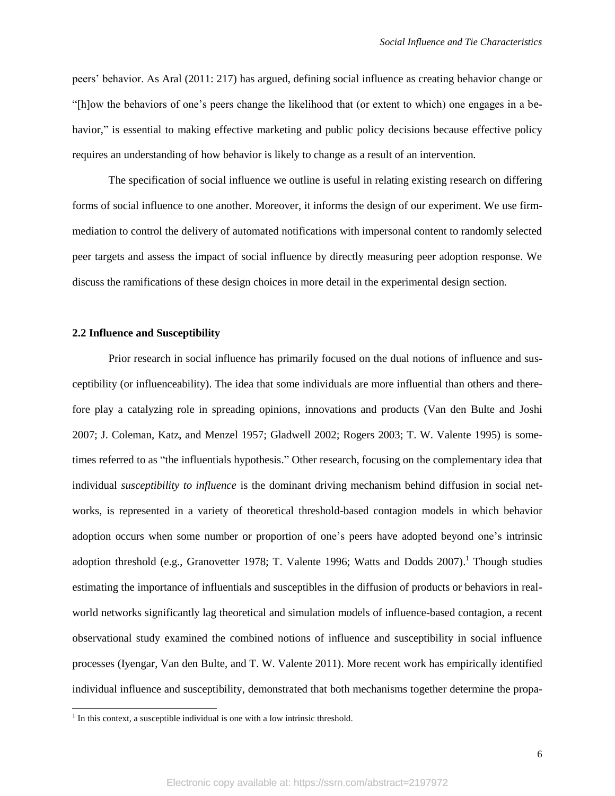peers' behavior. As Aral (2011: 217) has argued, defining social influence as creating behavior change or "[h]ow the behaviors of one's peers change the likelihood that (or extent to which) one engages in a behavior," is essential to making effective marketing and public policy decisions because effective policy requires an understanding of how behavior is likely to change as a result of an intervention.

The specification of social influence we outline is useful in relating existing research on differing forms of social influence to one another. Moreover, it informs the design of our experiment. We use firmmediation to control the delivery of automated notifications with impersonal content to randomly selected peer targets and assess the impact of social influence by directly measuring peer adoption response. We discuss the ramifications of these design choices in more detail in the experimental design section.

### **2.2 Influence and Susceptibility**

Prior research in social influence has primarily focused on the dual notions of influence and susceptibility (or influenceability). The idea that some individuals are more influential than others and therefore play a catalyzing role in spreading opinions, innovations and products (Van den Bulte and Joshi 2007; J. Coleman, Katz, and Menzel 1957; Gladwell 2002; Rogers 2003; T. W. Valente 1995) is sometimes referred to as "the influentials hypothesis." Other research, focusing on the complementary idea that individual *susceptibility to influence* is the dominant driving mechanism behind diffusion in social networks, is represented in a variety of theoretical threshold-based contagion models in which behavior adoption occurs when some number or proportion of one's peers have adopted beyond one's intrinsic adoption threshold (e.g., Granovetter 1978; T. Valente 1996; Watts and Dodds 2007).<sup>1</sup> Though studies estimating the importance of influentials and susceptibles in the diffusion of products or behaviors in realworld networks significantly lag theoretical and simulation models of influence-based contagion, a recent observational study examined the combined notions of influence and susceptibility in social influence processes (Iyengar, Van den Bulte, and T. W. Valente 2011). More recent work has empirically identified individual influence and susceptibility, demonstrated that both mechanisms together determine the propa-

 1 In this context, a susceptible individual is one with a low intrinsic threshold.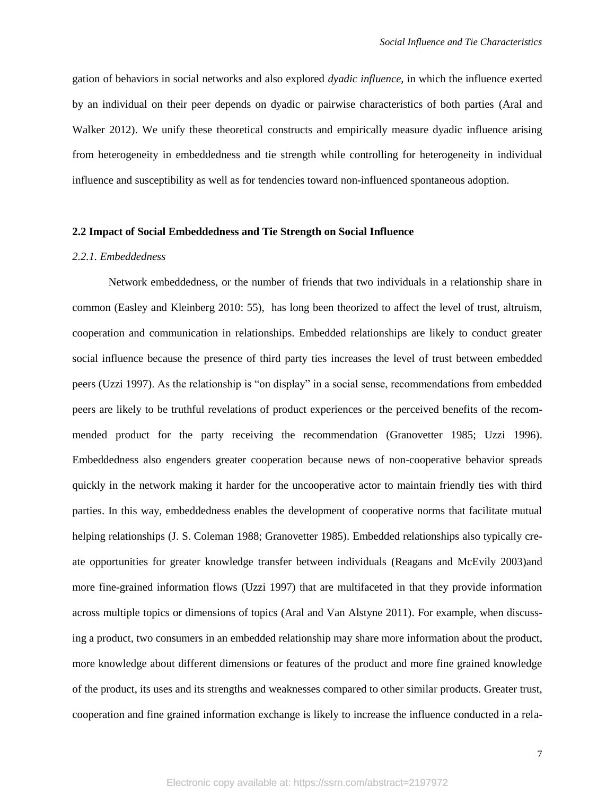gation of behaviors in social networks and also explored *dyadic influence*, in which the influence exerted by an individual on their peer depends on dyadic or pairwise characteristics of both parties (Aral and Walker 2012). We unify these theoretical constructs and empirically measure dyadic influence arising from heterogeneity in embeddedness and tie strength while controlling for heterogeneity in individual influence and susceptibility as well as for tendencies toward non-influenced spontaneous adoption.

## **2.2 Impact of Social Embeddedness and Tie Strength on Social Influence**

#### *2.2.1. Embeddedness*

Network embeddedness, or the number of friends that two individuals in a relationship share in common (Easley and Kleinberg 2010: 55), has long been theorized to affect the level of trust, altruism, cooperation and communication in relationships. Embedded relationships are likely to conduct greater social influence because the presence of third party ties increases the level of trust between embedded peers (Uzzi 1997). As the relationship is "on display" in a social sense, recommendations from embedded peers are likely to be truthful revelations of product experiences or the perceived benefits of the recommended product for the party receiving the recommendation (Granovetter 1985; Uzzi 1996). Embeddedness also engenders greater cooperation because news of non-cooperative behavior spreads quickly in the network making it harder for the uncooperative actor to maintain friendly ties with third parties. In this way, embeddedness enables the development of cooperative norms that facilitate mutual helping relationships (J. S. Coleman 1988; Granovetter 1985). Embedded relationships also typically create opportunities for greater knowledge transfer between individuals (Reagans and McEvily 2003)and more fine-grained information flows (Uzzi 1997) that are multifaceted in that they provide information across multiple topics or dimensions of topics (Aral and Van Alstyne 2011). For example, when discussing a product, two consumers in an embedded relationship may share more information about the product, more knowledge about different dimensions or features of the product and more fine grained knowledge of the product, its uses and its strengths and weaknesses compared to other similar products. Greater trust, cooperation and fine grained information exchange is likely to increase the influence conducted in a rela-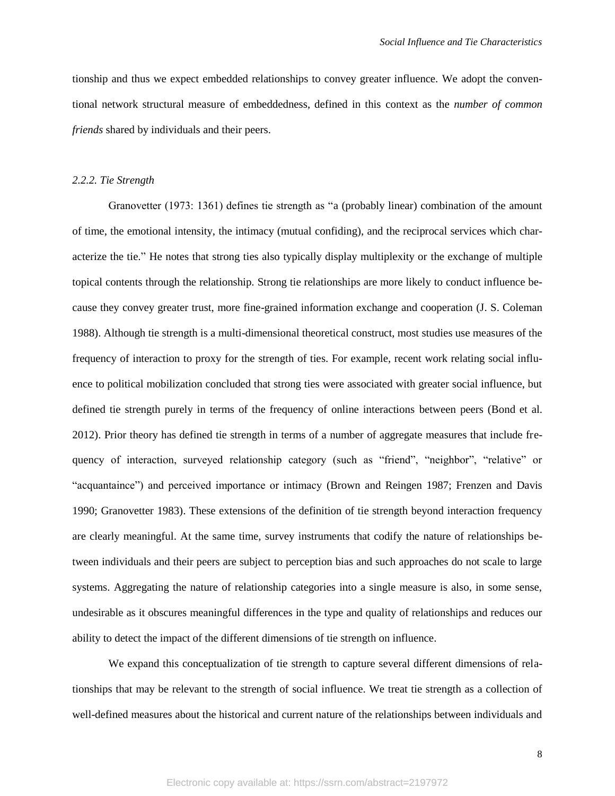tionship and thus we expect embedded relationships to convey greater influence. We adopt the conventional network structural measure of embeddedness, defined in this context as the *number of common friends* shared by individuals and their peers.

#### *2.2.2. Tie Strength*

Granovetter (1973: 1361) defines tie strength as "a (probably linear) combination of the amount of time, the emotional intensity, the intimacy (mutual confiding), and the reciprocal services which characterize the tie." He notes that strong ties also typically display multiplexity or the exchange of multiple topical contents through the relationship. Strong tie relationships are more likely to conduct influence because they convey greater trust, more fine-grained information exchange and cooperation (J. S. Coleman 1988). Although tie strength is a multi-dimensional theoretical construct, most studies use measures of the frequency of interaction to proxy for the strength of ties. For example, recent work relating social influence to political mobilization concluded that strong ties were associated with greater social influence, but defined tie strength purely in terms of the frequency of online interactions between peers (Bond et al. 2012). Prior theory has defined tie strength in terms of a number of aggregate measures that include frequency of interaction, surveyed relationship category (such as "friend", "neighbor", "relative" or "acquantaince") and perceived importance or intimacy (Brown and Reingen 1987; Frenzen and Davis 1990; Granovetter 1983). These extensions of the definition of tie strength beyond interaction frequency are clearly meaningful. At the same time, survey instruments that codify the nature of relationships between individuals and their peers are subject to perception bias and such approaches do not scale to large systems. Aggregating the nature of relationship categories into a single measure is also, in some sense, undesirable as it obscures meaningful differences in the type and quality of relationships and reduces our ability to detect the impact of the different dimensions of tie strength on influence.

We expand this conceptualization of tie strength to capture several different dimensions of relationships that may be relevant to the strength of social influence. We treat tie strength as a collection of well-defined measures about the historical and current nature of the relationships between individuals and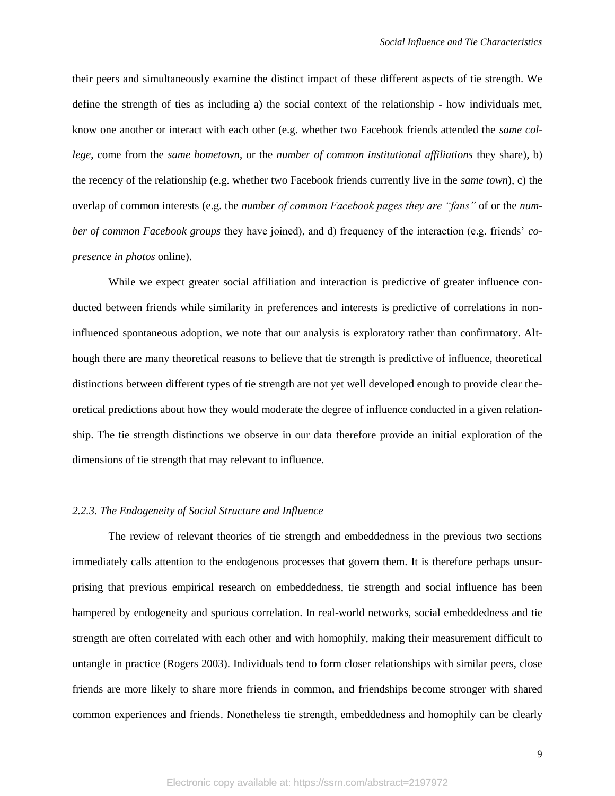their peers and simultaneously examine the distinct impact of these different aspects of tie strength. We define the strength of ties as including a) the social context of the relationship - how individuals met, know one another or interact with each other (e.g. whether two Facebook friends attended the *same college*, come from the *same hometown*, or the *number of common institutional affiliations* they share), b) the recency of the relationship (e.g. whether two Facebook friends currently live in the *same town*), c) the overlap of common interests (e.g. the *number of common Facebook pages they are "fans"* of or the *number of common Facebook groups* they have joined), and d) frequency of the interaction (e.g. friends' *copresence in photos* online).

While we expect greater social affiliation and interaction is predictive of greater influence conducted between friends while similarity in preferences and interests is predictive of correlations in noninfluenced spontaneous adoption, we note that our analysis is exploratory rather than confirmatory. Although there are many theoretical reasons to believe that tie strength is predictive of influence, theoretical distinctions between different types of tie strength are not yet well developed enough to provide clear theoretical predictions about how they would moderate the degree of influence conducted in a given relationship. The tie strength distinctions we observe in our data therefore provide an initial exploration of the dimensions of tie strength that may relevant to influence.

#### *2.2.3. The Endogeneity of Social Structure and Influence*

The review of relevant theories of tie strength and embeddedness in the previous two sections immediately calls attention to the endogenous processes that govern them. It is therefore perhaps unsurprising that previous empirical research on embeddedness, tie strength and social influence has been hampered by endogeneity and spurious correlation. In real-world networks, social embeddedness and tie strength are often correlated with each other and with homophily, making their measurement difficult to untangle in practice (Rogers 2003). Individuals tend to form closer relationships with similar peers, close friends are more likely to share more friends in common, and friendships become stronger with shared common experiences and friends. Nonetheless tie strength, embeddedness and homophily can be clearly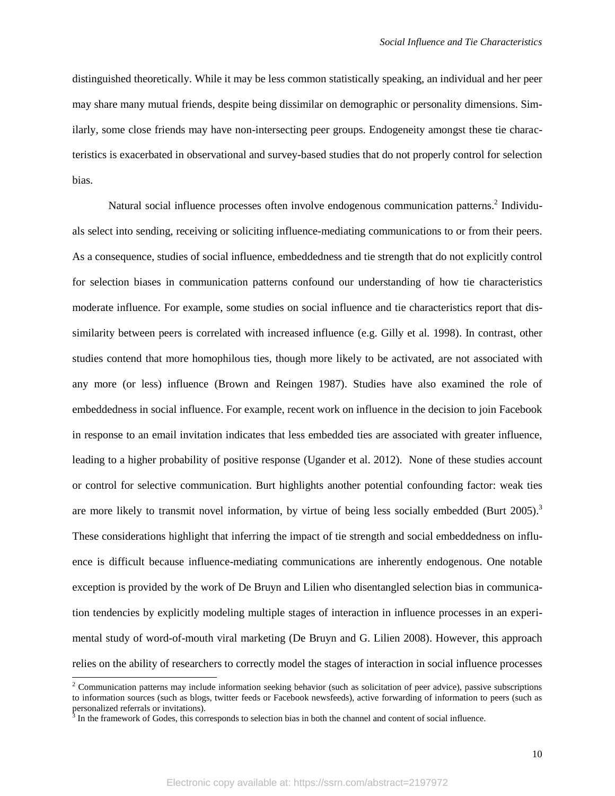distinguished theoretically. While it may be less common statistically speaking, an individual and her peer may share many mutual friends, despite being dissimilar on demographic or personality dimensions. Similarly, some close friends may have non-intersecting peer groups. Endogeneity amongst these tie characteristics is exacerbated in observational and survey-based studies that do not properly control for selection bias.

Natural social influence processes often involve endogenous communication patterns.<sup>2</sup> Individuals select into sending, receiving or soliciting influence-mediating communications to or from their peers. As a consequence, studies of social influence, embeddedness and tie strength that do not explicitly control for selection biases in communication patterns confound our understanding of how tie characteristics moderate influence. For example, some studies on social influence and tie characteristics report that dissimilarity between peers is correlated with increased influence (e.g. Gilly et al. 1998). In contrast, other studies contend that more homophilous ties, though more likely to be activated, are not associated with any more (or less) influence (Brown and Reingen 1987). Studies have also examined the role of embeddedness in social influence. For example, recent work on influence in the decision to join Facebook in response to an email invitation indicates that less embedded ties are associated with greater influence, leading to a higher probability of positive response (Ugander et al. 2012). None of these studies account or control for selective communication. Burt highlights another potential confounding factor: weak ties are more likely to transmit novel information, by virtue of being less socially embedded (Burt 2005).<sup>3</sup> These considerations highlight that inferring the impact of tie strength and social embeddedness on influence is difficult because influence-mediating communications are inherently endogenous. One notable exception is provided by the work of De Bruyn and Lilien who disentangled selection bias in communication tendencies by explicitly modeling multiple stages of interaction in influence processes in an experimental study of word-of-mouth viral marketing (De Bruyn and G. Lilien 2008). However, this approach relies on the ability of researchers to correctly model the stages of interaction in social influence processes

 $\overline{a}$ 

 $2$  Communication patterns may include information seeking behavior (such as solicitation of peer advice), passive subscriptions to information sources (such as blogs, twitter feeds or Facebook newsfeeds), active forwarding of information to peers (such as personalized referrals or invitations).<br><sup>3</sup> In the framework of Godes, this corresponds to selection bias in both the channel and content of social influence.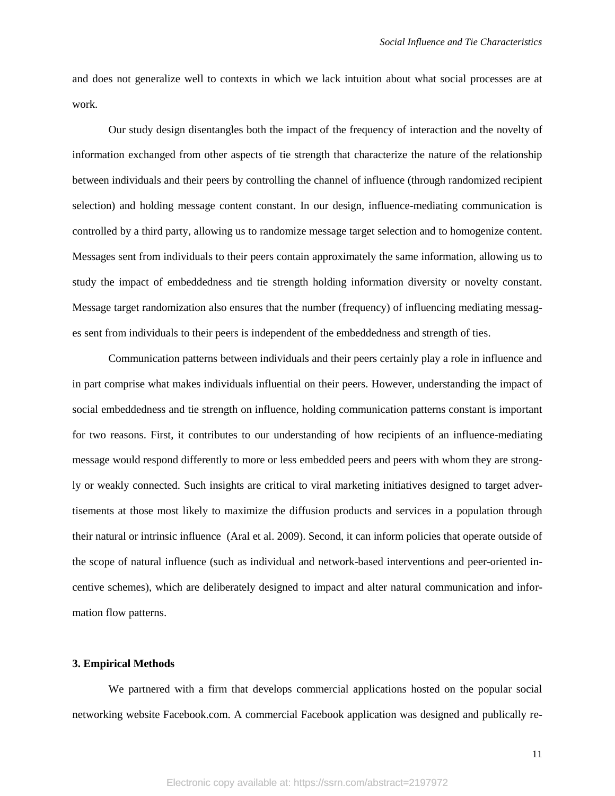and does not generalize well to contexts in which we lack intuition about what social processes are at work.

Our study design disentangles both the impact of the frequency of interaction and the novelty of information exchanged from other aspects of tie strength that characterize the nature of the relationship between individuals and their peers by controlling the channel of influence (through randomized recipient selection) and holding message content constant. In our design, influence-mediating communication is controlled by a third party, allowing us to randomize message target selection and to homogenize content. Messages sent from individuals to their peers contain approximately the same information, allowing us to study the impact of embeddedness and tie strength holding information diversity or novelty constant. Message target randomization also ensures that the number (frequency) of influencing mediating messages sent from individuals to their peers is independent of the embeddedness and strength of ties.

Communication patterns between individuals and their peers certainly play a role in influence and in part comprise what makes individuals influential on their peers. However, understanding the impact of social embeddedness and tie strength on influence, holding communication patterns constant is important for two reasons. First, it contributes to our understanding of how recipients of an influence-mediating message would respond differently to more or less embedded peers and peers with whom they are strongly or weakly connected. Such insights are critical to viral marketing initiatives designed to target advertisements at those most likely to maximize the diffusion products and services in a population through their natural or intrinsic influence (Aral et al. 2009). Second, it can inform policies that operate outside of the scope of natural influence (such as individual and network-based interventions and peer-oriented incentive schemes), which are deliberately designed to impact and alter natural communication and information flow patterns.

## **3. Empirical Methods**

We partnered with a firm that develops commercial applications hosted on the popular social networking website Facebook.com. A commercial Facebook application was designed and publically re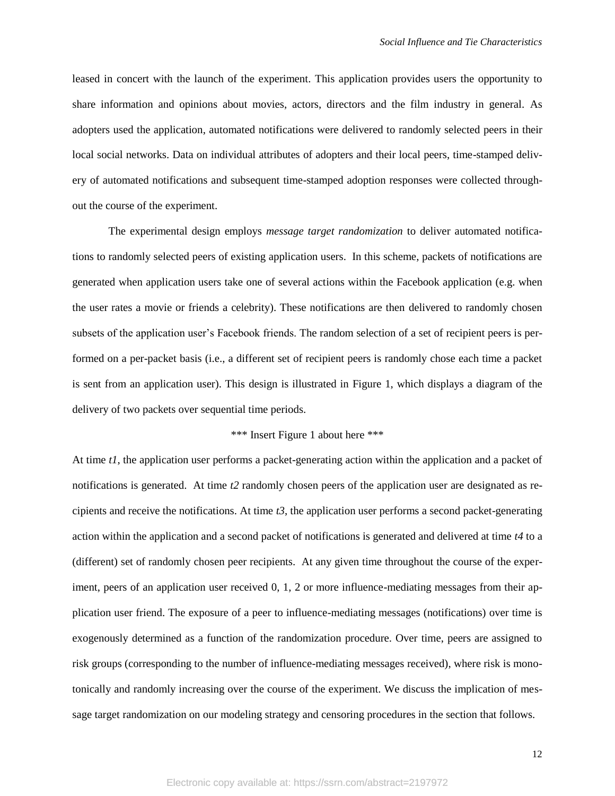leased in concert with the launch of the experiment. This application provides users the opportunity to share information and opinions about movies, actors, directors and the film industry in general. As adopters used the application, automated notifications were delivered to randomly selected peers in their local social networks. Data on individual attributes of adopters and their local peers, time-stamped delivery of automated notifications and subsequent time-stamped adoption responses were collected throughout the course of the experiment.

The experimental design employs *message target randomization* to deliver automated notifications to randomly selected peers of existing application users. In this scheme, packets of notifications are generated when application users take one of several actions within the Facebook application (e.g. when the user rates a movie or friends a celebrity). These notifications are then delivered to randomly chosen subsets of the application user's Facebook friends. The random selection of a set of recipient peers is performed on a per-packet basis (i.e., a different set of recipient peers is randomly chose each time a packet is sent from an application user). This design is illustrated in Figure 1, which displays a diagram of the delivery of two packets over sequential time periods.

## \*\*\* Insert Figure 1 about here \*\*\*

At time *t1*, the application user performs a packet-generating action within the application and a packet of notifications is generated. At time *t2* randomly chosen peers of the application user are designated as recipients and receive the notifications. At time  $t3$ , the application user performs a second packet-generating action within the application and a second packet of notifications is generated and delivered at time *t4* to a (different) set of randomly chosen peer recipients. At any given time throughout the course of the experiment, peers of an application user received 0, 1, 2 or more influence-mediating messages from their application user friend. The exposure of a peer to influence-mediating messages (notifications) over time is exogenously determined as a function of the randomization procedure. Over time, peers are assigned to risk groups (corresponding to the number of influence-mediating messages received), where risk is monotonically and randomly increasing over the course of the experiment. We discuss the implication of message target randomization on our modeling strategy and censoring procedures in the section that follows.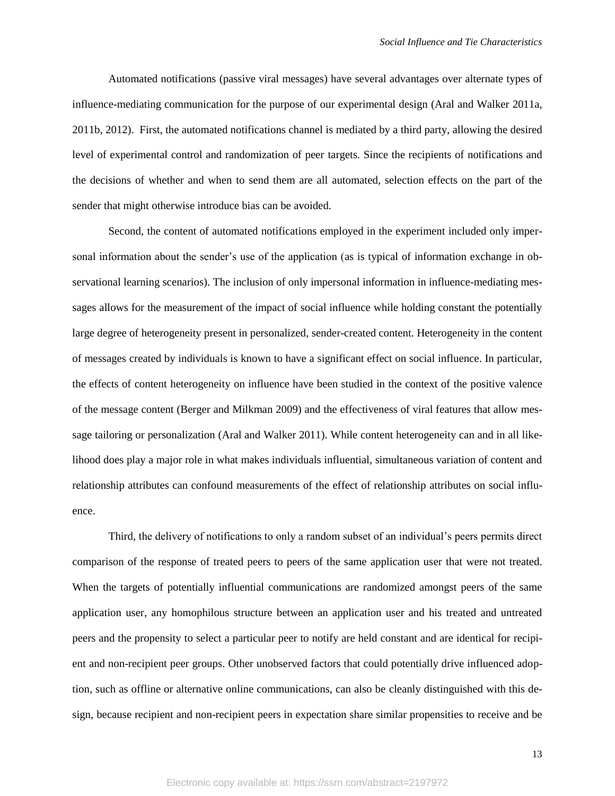Automated notifications (passive viral messages) have several advantages over alternate types of influence-mediating communication for the purpose of our experimental design (Aral and Walker 2011a, 2011b, 2012). First, the automated notifications channel is mediated by a third party, allowing the desired level of experimental control and randomization of peer targets. Since the recipients of notifications and the decisions of whether and when to send them are all automated, selection effects on the part of the sender that might otherwise introduce bias can be avoided.

Second, the content of automated notifications employed in the experiment included only impersonal information about the sender's use of the application (as is typical of information exchange in observational learning scenarios). The inclusion of only impersonal information in influence-mediating messages allows for the measurement of the impact of social influence while holding constant the potentially large degree of heterogeneity present in personalized, sender-created content. Heterogeneity in the content of messages created by individuals is known to have a significant effect on social influence. In particular, the effects of content heterogeneity on influence have been studied in the context of the positive valence of the message content (Berger and Milkman 2009) and the effectiveness of viral features that allow message tailoring or personalization (Aral and Walker 2011). While content heterogeneity can and in all likelihood does play a major role in what makes individuals influential, simultaneous variation of content and relationship attributes can confound measurements of the effect of relationship attributes on social influence.

Third, the delivery of notifications to only a random subset of an individual's peers permits direct comparison of the response of treated peers to peers of the same application user that were not treated. When the targets of potentially influential communications are randomized amongst peers of the same application user, any homophilous structure between an application user and his treated and untreated peers and the propensity to select a particular peer to notify are held constant and are identical for recipient and non-recipient peer groups. Other unobserved factors that could potentially drive influenced adoption, such as offline or alternative online communications, can also be cleanly distinguished with this design, because recipient and non-recipient peers in expectation share similar propensities to receive and be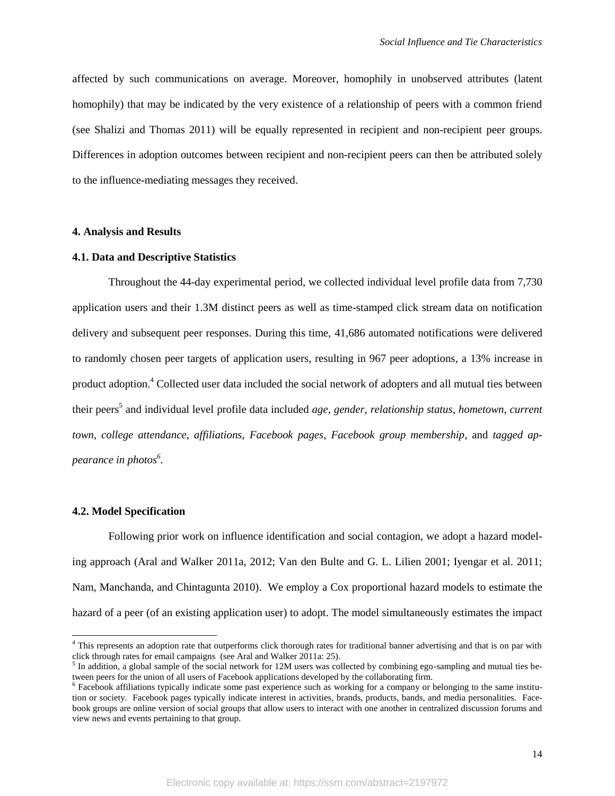affected by such communications on average. Moreover, homophily in unobserved attributes (latent homophily) that may be indicated by the very existence of a relationship of peers with a common friend (see Shalizi and Thomas 2011) will be equally represented in recipient and non-recipient peer groups. Differences in adoption outcomes between recipient and non-recipient peers can then be attributed solely to the influence-mediating messages they received.

## **4. Analysis and Results**

#### **4.1. Data and Descriptive Statistics**

Throughout the 44-day experimental period, we collected individual level profile data from 7,730 application users and their 1.3M distinct peers as well as time-stamped click stream data on notification delivery and subsequent peer responses. During this time, 41,686 automated notifications were delivered to randomly chosen peer targets of application users, resulting in 967 peer adoptions, a 13% increase in product adoption.<sup>4</sup> Collected user data included the social network of adopters and all mutual ties between their peers<sup>5</sup> and individual level profile data included *age*, *gender*, *relationship status*, *hometown*, *current town*, *college attendance*, *affiliations*, *Facebook pages*, *Facebook group membership*, and *tagged appearance in photos 6 .*

#### **4.2. Model Specification**

l

Following prior work on influence identification and social contagion, we adopt a hazard modeling approach (Aral and Walker 2011a, 2012; Van den Bulte and G. L. Lilien 2001; Iyengar et al. 2011; Nam, Manchanda, and Chintagunta 2010). We employ a Cox proportional hazard models to estimate the hazard of a peer (of an existing application user) to adopt. The model simultaneously estimates the impact

<sup>&</sup>lt;sup>4</sup> This represents an adoption rate that outperforms click thorough rates for traditional banner advertising and that is on par with click through rates for email campaigns (see Aral and Walker 2011a: 25).

 $<sup>5</sup>$  In addition, a global sample of the social network for 12M users was collected by combining ego-sampling and mutual ties be-</sup> tween peers for the union of all users of Facebook applications developed by the collaborating firm.

<sup>&</sup>lt;sup>6</sup> Facebook affiliations typically indicate some past experience such as working for a company or belonging to the same institution or society. Facebook pages typically indicate interest in activities, brands, products, bands, and media personalities. Facebook groups are online version of social groups that allow users to interact with one another in centralized discussion forums and view news and events pertaining to that group.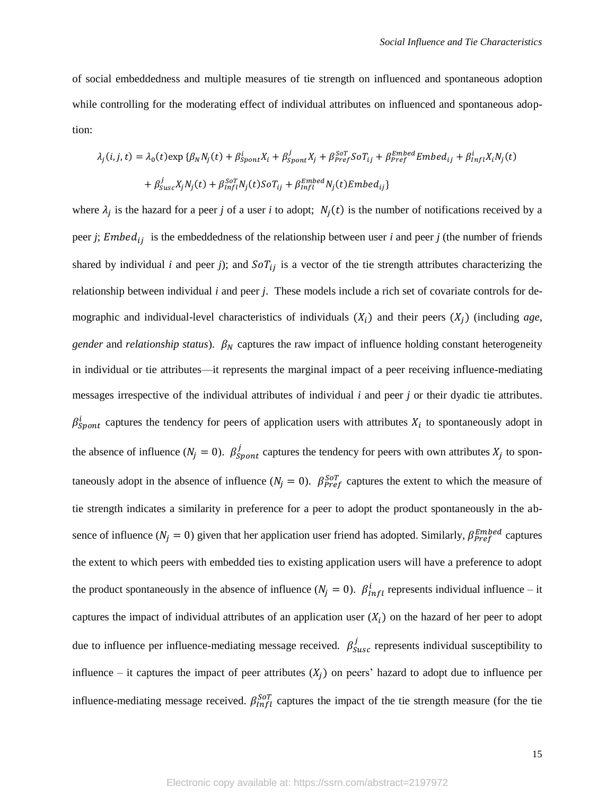of social embeddedness and multiple measures of tie strength on influenced and spontaneous adoption while controlling for the moderating effect of individual attributes on influenced and spontaneous adoption:

$$
\lambda_j(i,j,t) = \lambda_0(t) \exp \{ \beta_N N_j(t) + \beta_{\text{spont}}^i X_i + \beta_{\text{spont}}^j X_j + \beta_{\text{Pref}}^{\text{Sor}} S \circ T_{ij} + \beta_{\text{Pref}}^{\text{Embed}} E \text{mbed}_{ij} + \beta_{\text{Infl}}^i X_i N_j(t) + \beta_{\text{Susc}}^j X_j N_j(t) + \beta_{\text{Infl}}^{\text{Sor}} N_j(t) S \circ T_{ij} + \beta_{\text{Infl}}^{\text{Embed}} N_j(t) E \text{mbed}_{ij} \}
$$

where  $\lambda_i$  is the hazard for a peer *j* of a user *i* to adopt;  $N_i(t)$  is the number of notifications received by a peer *j*;  $Embed_{ij}$  is the embeddedness of the relationship between user *i* and peer *j* (the number of friends shared by individual *i* and peer *j*); and  $\text{SoT}_{ij}$  is a vector of the tie strength attributes characterizing the relationship between individual *i* and peer *j*. These models include a rich set of covariate controls for demographic and individual-level characteristics of individuals  $(X_i)$  and their peers  $(X_i)$  (including *age*, *gender* and *relationship status*).  $\beta_N$  captures the raw impact of influence holding constant heterogeneity in individual or tie attributes—it represents the marginal impact of a peer receiving influence-mediating messages irrespective of the individual attributes of individual *i* and peer *j* or their dyadic tie attributes.  $\beta_{Snont}^{i}$  captures the tendency for peers of application users with attributes  $X_i$  to spontaneously adopt in the absence of influence  $(N_i = 0)$ .  $\beta_{\text{const}}^j$  captures the tendency for peers with own attributes  $X_i$  to spontaneously adopt in the absence of influence  $(N_i = 0)$ .  $\beta_{\text{Pref}}^{SOT}$  captures the extent to which the measure of tie strength indicates a similarity in preference for a peer to adopt the product spontaneously in the absence of influence ( $N_i = 0$ ) given that her application user friend has adopted. Similarly,  $\beta_{Pref}^{Embed}$  captures the extent to which peers with embedded ties to existing application users will have a preference to adopt the product spontaneously in the absence of influence  $(N_i = 0)$ .  $\beta_{Infl}^i$  represents individual influence – it captures the impact of individual attributes of an application user  $(X_i)$  on the hazard of her peer to adopt due to influence per influence-mediating message received.  $\beta_{Susc}^j$  represents individual susceptibility to influence – it captures the impact of peer attributes  $(X_i)$  on peers' hazard to adopt due to influence per influence-mediating message received.  $\beta_{Infl}^{Sor}$  captures the impact of the tie strength measure (for the tie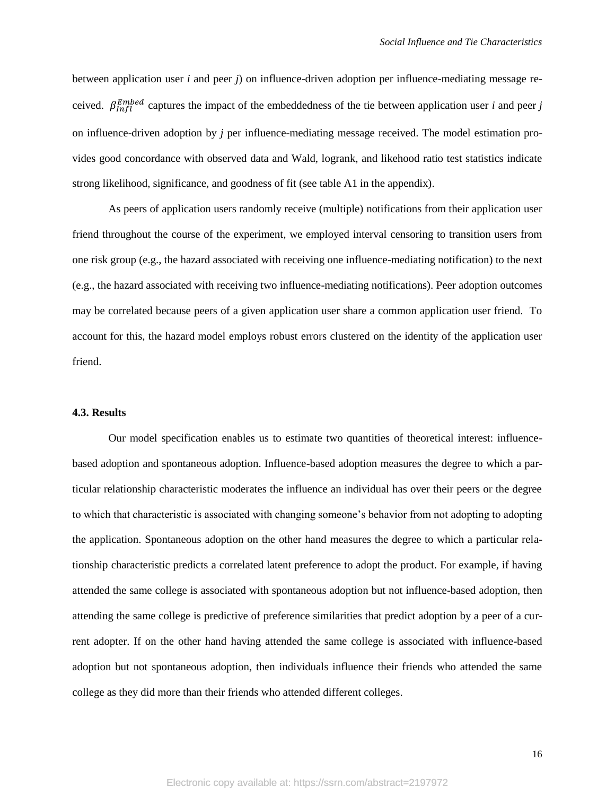between application user *i* and peer *j*) on influence-driven adoption per influence-mediating message received.  $\beta_{Infl}^{Embed}$  captures the impact of the embeddedness of the tie between application user *i* and peer *j* on influence-driven adoption by *j* per influence-mediating message received. The model estimation provides good concordance with observed data and Wald, logrank, and likehood ratio test statistics indicate strong likelihood, significance, and goodness of fit (see table A1 in the appendix).

As peers of application users randomly receive (multiple) notifications from their application user friend throughout the course of the experiment, we employed interval censoring to transition users from one risk group (e.g., the hazard associated with receiving one influence-mediating notification) to the next (e.g., the hazard associated with receiving two influence-mediating notifications). Peer adoption outcomes may be correlated because peers of a given application user share a common application user friend. To account for this, the hazard model employs robust errors clustered on the identity of the application user friend.

#### **4.3. Results**

Our model specification enables us to estimate two quantities of theoretical interest: influencebased adoption and spontaneous adoption. Influence-based adoption measures the degree to which a particular relationship characteristic moderates the influence an individual has over their peers or the degree to which that characteristic is associated with changing someone's behavior from not adopting to adopting the application. Spontaneous adoption on the other hand measures the degree to which a particular relationship characteristic predicts a correlated latent preference to adopt the product. For example, if having attended the same college is associated with spontaneous adoption but not influence-based adoption, then attending the same college is predictive of preference similarities that predict adoption by a peer of a current adopter. If on the other hand having attended the same college is associated with influence-based adoption but not spontaneous adoption, then individuals influence their friends who attended the same college as they did more than their friends who attended different colleges.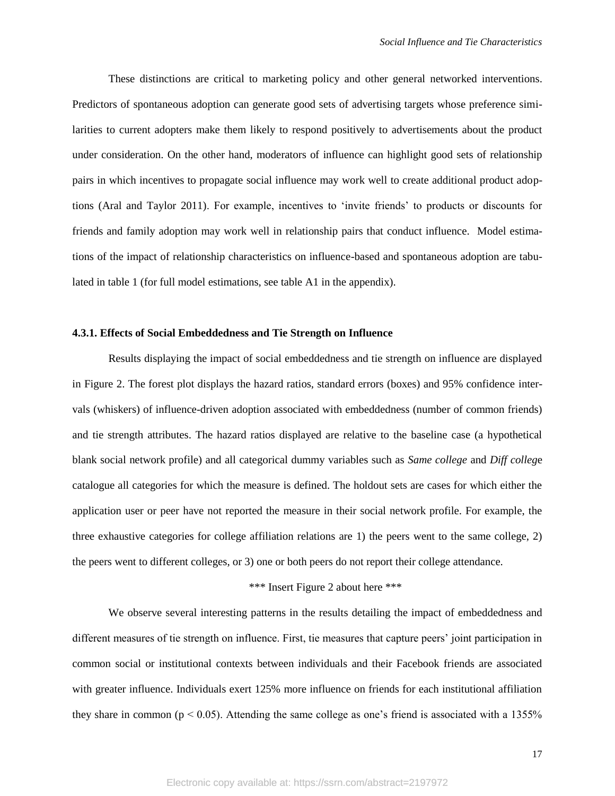These distinctions are critical to marketing policy and other general networked interventions. Predictors of spontaneous adoption can generate good sets of advertising targets whose preference similarities to current adopters make them likely to respond positively to advertisements about the product under consideration. On the other hand, moderators of influence can highlight good sets of relationship pairs in which incentives to propagate social influence may work well to create additional product adoptions (Aral and Taylor 2011). For example, incentives to 'invite friends' to products or discounts for friends and family adoption may work well in relationship pairs that conduct influence. Model estimations of the impact of relationship characteristics on influence-based and spontaneous adoption are tabulated in table 1 (for full model estimations, see table A1 in the appendix).

## **4.3.1. Effects of Social Embeddedness and Tie Strength on Influence**

Results displaying the impact of social embeddedness and tie strength on influence are displayed in Figure 2. The forest plot displays the hazard ratios, standard errors (boxes) and 95% confidence intervals (whiskers) of influence-driven adoption associated with embeddedness (number of common friends) and tie strength attributes. The hazard ratios displayed are relative to the baseline case (a hypothetical blank social network profile) and all categorical dummy variables such as *Same college* and *Diff colleg*e catalogue all categories for which the measure is defined. The holdout sets are cases for which either the application user or peer have not reported the measure in their social network profile. For example, the three exhaustive categories for college affiliation relations are 1) the peers went to the same college, 2) the peers went to different colleges, or 3) one or both peers do not report their college attendance.

#### \*\*\* Insert Figure 2 about here \*\*\*

We observe several interesting patterns in the results detailing the impact of embeddedness and different measures of tie strength on influence. First, tie measures that capture peers' joint participation in common social or institutional contexts between individuals and their Facebook friends are associated with greater influence. Individuals exert 125% more influence on friends for each institutional affiliation they share in common ( $p < 0.05$ ). Attending the same college as one's friend is associated with a 1355%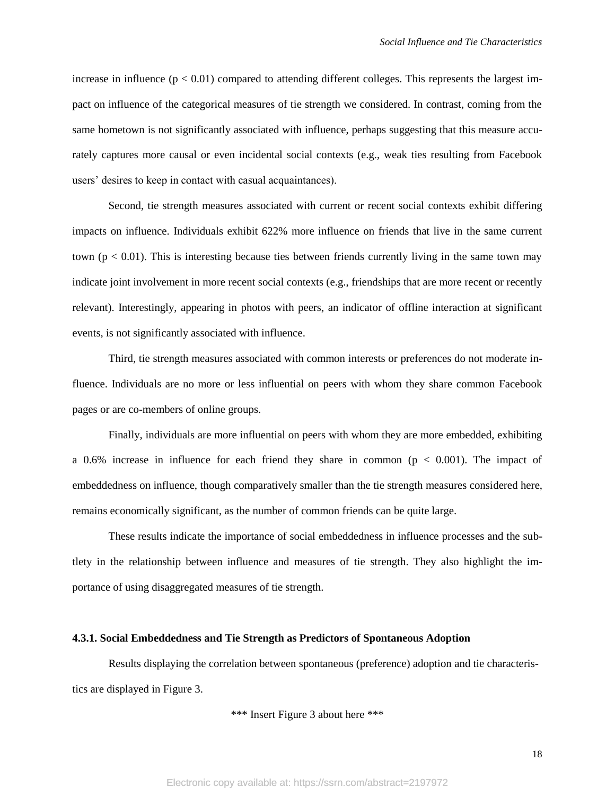increase in influence ( $p < 0.01$ ) compared to attending different colleges. This represents the largest impact on influence of the categorical measures of tie strength we considered. In contrast, coming from the same hometown is not significantly associated with influence, perhaps suggesting that this measure accurately captures more causal or even incidental social contexts (e.g., weak ties resulting from Facebook users' desires to keep in contact with casual acquaintances).

Second, tie strength measures associated with current or recent social contexts exhibit differing impacts on influence. Individuals exhibit 622% more influence on friends that live in the same current town ( $p < 0.01$ ). This is interesting because ties between friends currently living in the same town may indicate joint involvement in more recent social contexts (e.g., friendships that are more recent or recently relevant). Interestingly, appearing in photos with peers, an indicator of offline interaction at significant events, is not significantly associated with influence.

Third, tie strength measures associated with common interests or preferences do not moderate influence. Individuals are no more or less influential on peers with whom they share common Facebook pages or are co-members of online groups.

Finally, individuals are more influential on peers with whom they are more embedded, exhibiting a 0.6% increase in influence for each friend they share in common ( $p < 0.001$ ). The impact of embeddedness on influence, though comparatively smaller than the tie strength measures considered here, remains economically significant, as the number of common friends can be quite large.

These results indicate the importance of social embeddedness in influence processes and the subtlety in the relationship between influence and measures of tie strength. They also highlight the importance of using disaggregated measures of tie strength.

#### **4.3.1. Social Embeddedness and Tie Strength as Predictors of Spontaneous Adoption**

Results displaying the correlation between spontaneous (preference) adoption and tie characteristics are displayed in Figure 3.

\*\*\* Insert Figure 3 about here \*\*\*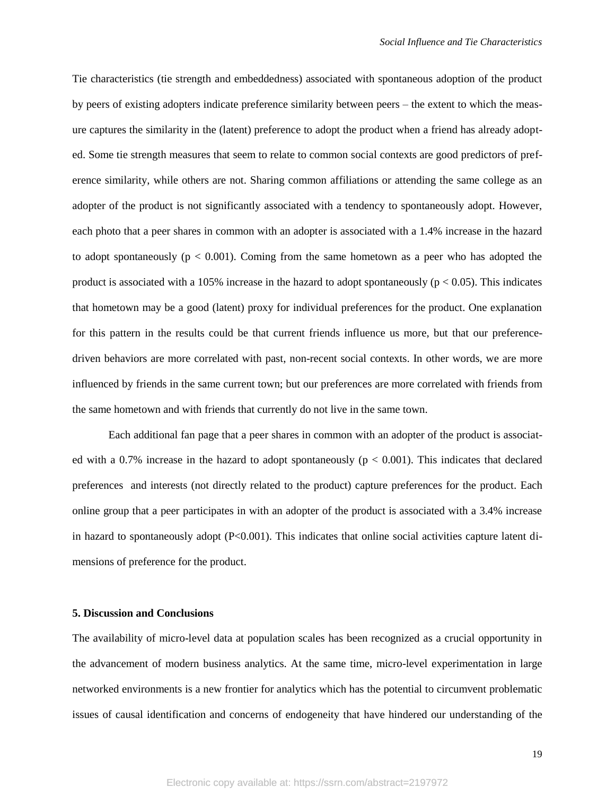Tie characteristics (tie strength and embeddedness) associated with spontaneous adoption of the product by peers of existing adopters indicate preference similarity between peers – the extent to which the measure captures the similarity in the (latent) preference to adopt the product when a friend has already adopted. Some tie strength measures that seem to relate to common social contexts are good predictors of preference similarity, while others are not. Sharing common affiliations or attending the same college as an adopter of the product is not significantly associated with a tendency to spontaneously adopt. However, each photo that a peer shares in common with an adopter is associated with a 1.4% increase in the hazard to adopt spontaneously  $(p < 0.001)$ . Coming from the same hometown as a peer who has adopted the product is associated with a 105% increase in the hazard to adopt spontaneously ( $p < 0.05$ ). This indicates that hometown may be a good (latent) proxy for individual preferences for the product. One explanation for this pattern in the results could be that current friends influence us more, but that our preferencedriven behaviors are more correlated with past, non-recent social contexts. In other words, we are more influenced by friends in the same current town; but our preferences are more correlated with friends from the same hometown and with friends that currently do not live in the same town.

Each additional fan page that a peer shares in common with an adopter of the product is associated with a 0.7% increase in the hazard to adopt spontaneously ( $p < 0.001$ ). This indicates that declared preferences and interests (not directly related to the product) capture preferences for the product. Each online group that a peer participates in with an adopter of the product is associated with a 3.4% increase in hazard to spontaneously adopt  $(P<0.001)$ . This indicates that online social activities capture latent dimensions of preference for the product.

#### **5. Discussion and Conclusions**

The availability of micro-level data at population scales has been recognized as a crucial opportunity in the advancement of modern business analytics. At the same time, micro-level experimentation in large networked environments is a new frontier for analytics which has the potential to circumvent problematic issues of causal identification and concerns of endogeneity that have hindered our understanding of the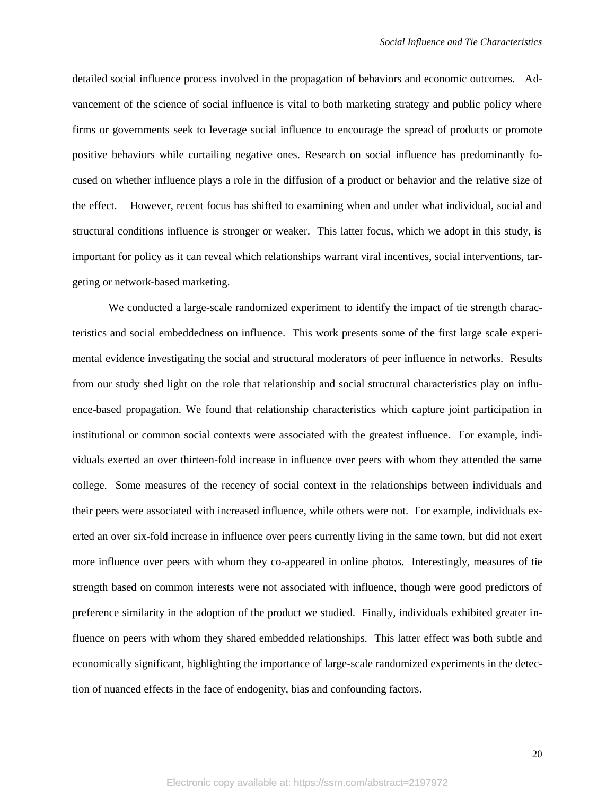detailed social influence process involved in the propagation of behaviors and economic outcomes. Advancement of the science of social influence is vital to both marketing strategy and public policy where firms or governments seek to leverage social influence to encourage the spread of products or promote positive behaviors while curtailing negative ones. Research on social influence has predominantly focused on whether influence plays a role in the diffusion of a product or behavior and the relative size of the effect. However, recent focus has shifted to examining when and under what individual, social and structural conditions influence is stronger or weaker. This latter focus, which we adopt in this study, is important for policy as it can reveal which relationships warrant viral incentives, social interventions, targeting or network-based marketing.

We conducted a large-scale randomized experiment to identify the impact of tie strength characteristics and social embeddedness on influence. This work presents some of the first large scale experimental evidence investigating the social and structural moderators of peer influence in networks. Results from our study shed light on the role that relationship and social structural characteristics play on influence-based propagation. We found that relationship characteristics which capture joint participation in institutional or common social contexts were associated with the greatest influence. For example, individuals exerted an over thirteen-fold increase in influence over peers with whom they attended the same college. Some measures of the recency of social context in the relationships between individuals and their peers were associated with increased influence, while others were not. For example, individuals exerted an over six-fold increase in influence over peers currently living in the same town, but did not exert more influence over peers with whom they co-appeared in online photos. Interestingly, measures of tie strength based on common interests were not associated with influence, though were good predictors of preference similarity in the adoption of the product we studied. Finally, individuals exhibited greater influence on peers with whom they shared embedded relationships. This latter effect was both subtle and economically significant, highlighting the importance of large-scale randomized experiments in the detection of nuanced effects in the face of endogenity, bias and confounding factors.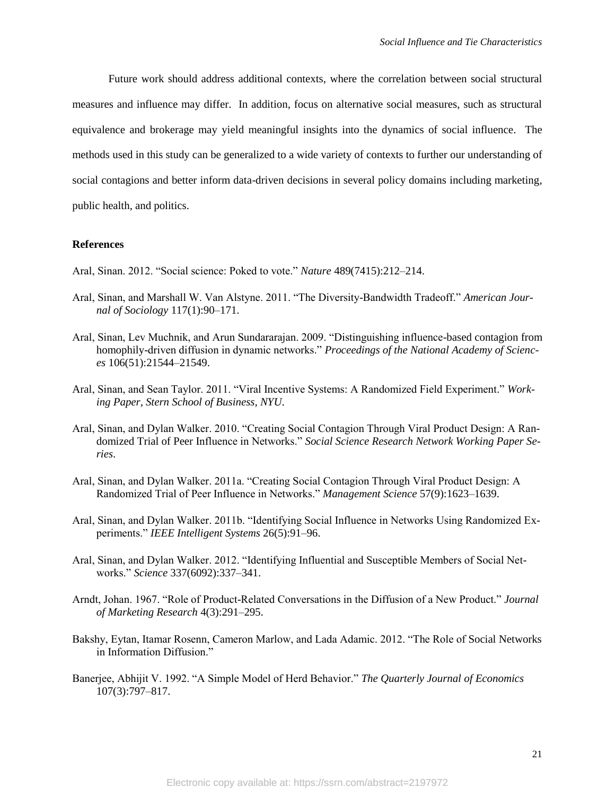Future work should address additional contexts, where the correlation between social structural measures and influence may differ. In addition, focus on alternative social measures, such as structural equivalence and brokerage may yield meaningful insights into the dynamics of social influence. The methods used in this study can be generalized to a wide variety of contexts to further our understanding of social contagions and better inform data-driven decisions in several policy domains including marketing, public health, and politics.

### **References**

- Aral, Sinan. 2012. "Social science: Poked to vote." *Nature* 489(7415):212–214.
- Aral, Sinan, and Marshall W. Van Alstyne. 2011. "The Diversity-Bandwidth Tradeoff." *American Journal of Sociology* 117(1):90–171.
- Aral, Sinan, Lev Muchnik, and Arun Sundararajan. 2009. "Distinguishing influence-based contagion from homophily-driven diffusion in dynamic networks." *Proceedings of the National Academy of Sciences* 106(51):21544–21549.
- Aral, Sinan, and Sean Taylor. 2011. "Viral Incentive Systems: A Randomized Field Experiment." *Working Paper, Stern School of Business, NYU*.
- Aral, Sinan, and Dylan Walker. 2010. "Creating Social Contagion Through Viral Product Design: A Randomized Trial of Peer Influence in Networks." *Social Science Research Network Working Paper Series*.
- Aral, Sinan, and Dylan Walker. 2011a. "Creating Social Contagion Through Viral Product Design: A Randomized Trial of Peer Influence in Networks." *Management Science* 57(9):1623–1639.
- Aral, Sinan, and Dylan Walker. 2011b. "Identifying Social Influence in Networks Using Randomized Experiments." *IEEE Intelligent Systems* 26(5):91–96.
- Aral, Sinan, and Dylan Walker. 2012. "Identifying Influential and Susceptible Members of Social Networks." *Science* 337(6092):337–341.
- Arndt, Johan. 1967. "Role of Product-Related Conversations in the Diffusion of a New Product." *Journal of Marketing Research* 4(3):291–295.
- Bakshy, Eytan, Itamar Rosenn, Cameron Marlow, and Lada Adamic. 2012. "The Role of Social Networks in Information Diffusion."
- Banerjee, Abhijit V. 1992. "A Simple Model of Herd Behavior." *The Quarterly Journal of Economics* 107(3):797–817.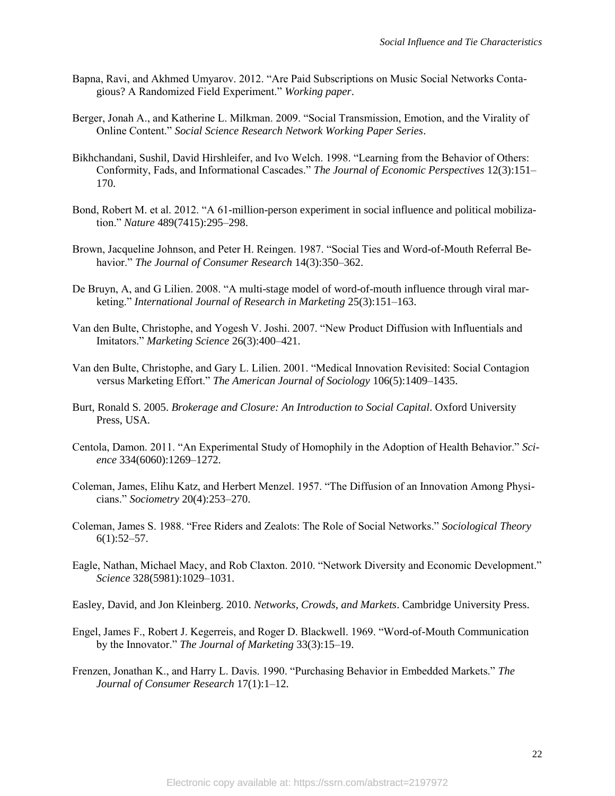- Bapna, Ravi, and Akhmed Umyarov. 2012. "Are Paid Subscriptions on Music Social Networks Contagious? A Randomized Field Experiment." *Working paper*.
- Berger, Jonah A., and Katherine L. Milkman. 2009. "Social Transmission, Emotion, and the Virality of Online Content." *Social Science Research Network Working Paper Series*.
- Bikhchandani, Sushil, David Hirshleifer, and Ivo Welch. 1998. "Learning from the Behavior of Others: Conformity, Fads, and Informational Cascades." *The Journal of Economic Perspectives* 12(3):151– 170.
- Bond, Robert M. et al. 2012. "A 61-million-person experiment in social influence and political mobilization." *Nature* 489(7415):295–298.
- Brown, Jacqueline Johnson, and Peter H. Reingen. 1987. "Social Ties and Word-of-Mouth Referral Behavior." *The Journal of Consumer Research* 14(3):350–362.
- De Bruyn, A, and G Lilien. 2008. "A multi-stage model of word-of-mouth influence through viral marketing." *International Journal of Research in Marketing* 25(3):151–163.
- Van den Bulte, Christophe, and Yogesh V. Joshi. 2007. "New Product Diffusion with Influentials and Imitators." *Marketing Science* 26(3):400–421.
- Van den Bulte, Christophe, and Gary L. Lilien. 2001. "Medical Innovation Revisited: Social Contagion versus Marketing Effort." *The American Journal of Sociology* 106(5):1409–1435.
- Burt, Ronald S. 2005. *Brokerage and Closure: An Introduction to Social Capital*. Oxford University Press, USA.
- Centola, Damon. 2011. "An Experimental Study of Homophily in the Adoption of Health Behavior." *Science* 334(6060):1269–1272.
- Coleman, James, Elihu Katz, and Herbert Menzel. 1957. "The Diffusion of an Innovation Among Physicians." *Sociometry* 20(4):253–270.
- Coleman, James S. 1988. "Free Riders and Zealots: The Role of Social Networks." *Sociological Theory*  $6(1):52-57.$
- Eagle, Nathan, Michael Macy, and Rob Claxton. 2010. "Network Diversity and Economic Development." *Science* 328(5981):1029–1031.
- Easley, David, and Jon Kleinberg. 2010. *Networks, Crowds, and Markets*. Cambridge University Press.
- Engel, James F., Robert J. Kegerreis, and Roger D. Blackwell. 1969. "Word-of-Mouth Communication by the Innovator." *The Journal of Marketing* 33(3):15–19.
- Frenzen, Jonathan K., and Harry L. Davis. 1990. "Purchasing Behavior in Embedded Markets." *The Journal of Consumer Research* 17(1):1–12.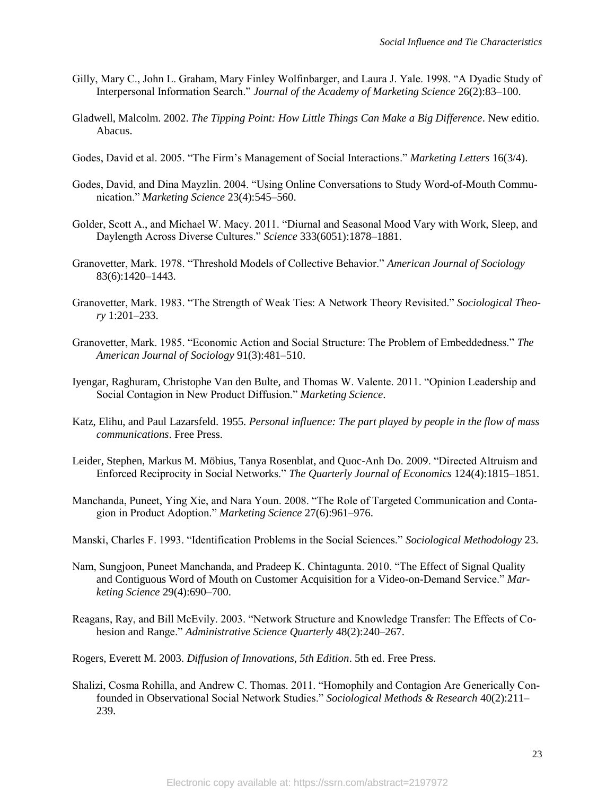- Gilly, Mary C., John L. Graham, Mary Finley Wolfinbarger, and Laura J. Yale. 1998. "A Dyadic Study of Interpersonal Information Search." *Journal of the Academy of Marketing Science* 26(2):83–100.
- Gladwell, Malcolm. 2002. *The Tipping Point: How Little Things Can Make a Big Difference*. New editio. Abacus.
- Godes, David et al. 2005. "The Firm's Management of Social Interactions." *Marketing Letters* 16(3/4).
- Godes, David, and Dina Mayzlin. 2004. "Using Online Conversations to Study Word-of-Mouth Communication." *Marketing Science* 23(4):545–560.
- Golder, Scott A., and Michael W. Macy. 2011. "Diurnal and Seasonal Mood Vary with Work, Sleep, and Daylength Across Diverse Cultures." *Science* 333(6051):1878–1881.
- Granovetter, Mark. 1978. "Threshold Models of Collective Behavior." *American Journal of Sociology* 83(6):1420–1443.
- Granovetter, Mark. 1983. "The Strength of Weak Ties: A Network Theory Revisited." *Sociological Theory* 1:201–233.
- Granovetter, Mark. 1985. "Economic Action and Social Structure: The Problem of Embeddedness." *The American Journal of Sociology* 91(3):481–510.
- Iyengar, Raghuram, Christophe Van den Bulte, and Thomas W. Valente. 2011. "Opinion Leadership and Social Contagion in New Product Diffusion." *Marketing Science*.
- Katz, Elihu, and Paul Lazarsfeld. 1955. *Personal influence: The part played by people in the flow of mass communications*. Free Press.
- Leider, Stephen, Markus M. Möbius, Tanya Rosenblat, and Quoc-Anh Do. 2009. "Directed Altruism and Enforced Reciprocity in Social Networks." *The Quarterly Journal of Economics* 124(4):1815–1851.
- Manchanda, Puneet, Ying Xie, and Nara Youn. 2008. "The Role of Targeted Communication and Contagion in Product Adoption." *Marketing Science* 27(6):961–976.
- Manski, Charles F. 1993. "Identification Problems in the Social Sciences." *Sociological Methodology* 23.
- Nam, Sungjoon, Puneet Manchanda, and Pradeep K. Chintagunta. 2010. "The Effect of Signal Quality and Contiguous Word of Mouth on Customer Acquisition for a Video-on-Demand Service." *Marketing Science* 29(4):690–700.
- Reagans, Ray, and Bill McEvily. 2003. "Network Structure and Knowledge Transfer: The Effects of Cohesion and Range." *Administrative Science Quarterly* 48(2):240–267.
- Rogers, Everett M. 2003. *Diffusion of Innovations, 5th Edition*. 5th ed. Free Press.
- Shalizi, Cosma Rohilla, and Andrew C. Thomas. 2011. "Homophily and Contagion Are Generically Confounded in Observational Social Network Studies." *Sociological Methods & Research* 40(2):211– 239.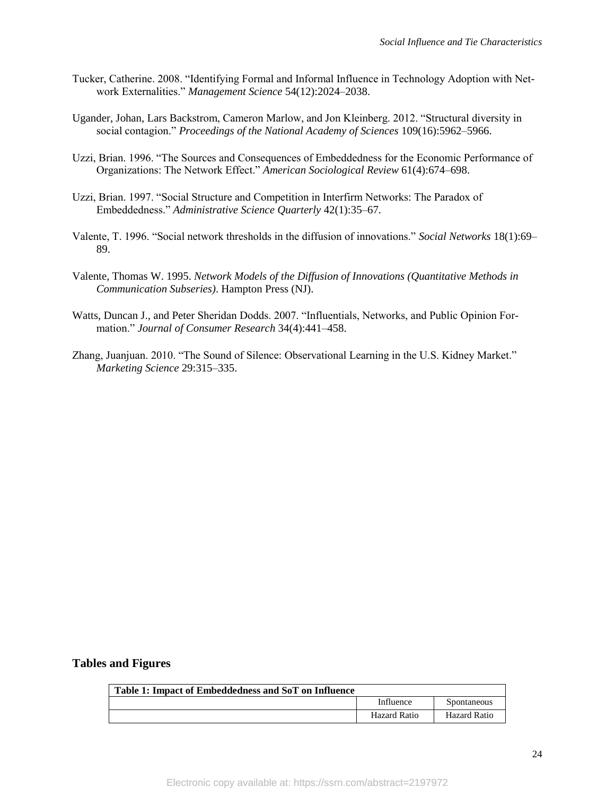- Tucker, Catherine. 2008. "Identifying Formal and Informal Influence in Technology Adoption with Network Externalities." *Management Science* 54(12):2024–2038.
- Ugander, Johan, Lars Backstrom, Cameron Marlow, and Jon Kleinberg. 2012. "Structural diversity in social contagion." *Proceedings of the National Academy of Sciences* 109(16):5962–5966.
- Uzzi, Brian. 1996. "The Sources and Consequences of Embeddedness for the Economic Performance of Organizations: The Network Effect." *American Sociological Review* 61(4):674–698.
- Uzzi, Brian. 1997. "Social Structure and Competition in Interfirm Networks: The Paradox of Embeddedness." *Administrative Science Quarterly* 42(1):35–67.
- Valente, T. 1996. "Social network thresholds in the diffusion of innovations." *Social Networks* 18(1):69– 89.
- Valente, Thomas W. 1995. *Network Models of the Diffusion of Innovations (Quantitative Methods in Communication Subseries)*. Hampton Press (NJ).
- Watts, Duncan J., and Peter Sheridan Dodds. 2007. "Influentials, Networks, and Public Opinion Formation." *Journal of Consumer Research* 34(4):441–458.
- Zhang, Juanjuan. 2010. "The Sound of Silence: Observational Learning in the U.S. Kidney Market." *Marketing Science* 29:315–335.

## **Tables and Figures**

| Table 1: Impact of Embeddedness and SoT on Influence |              |              |  |  |  |
|------------------------------------------------------|--------------|--------------|--|--|--|
|                                                      | Influence    | Spontaneous  |  |  |  |
|                                                      | Hazard Ratio | Hazard Ratio |  |  |  |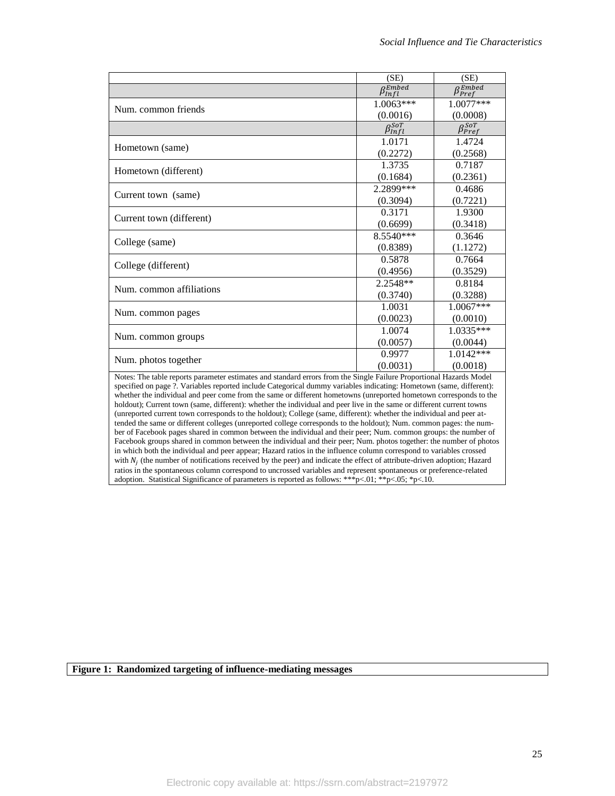| (SE)                 | (SE)                                                                                                      |
|----------------------|-----------------------------------------------------------------------------------------------------------|
|                      | $\overline{\beta_{Pref}^{Embed}}$                                                                         |
| 1.0063***            | 1.0077***                                                                                                 |
| (0.0016)             | (0.0008)                                                                                                  |
| $\beta_{Infl}^{SoT}$ | $\beta_{Pref}^{SoT}$                                                                                      |
| 1.0171               | 1.4724                                                                                                    |
| (0.2272)             | (0.2568)                                                                                                  |
| 1.3735               | 0.7187                                                                                                    |
| (0.1684)             | (0.2361)                                                                                                  |
| 2.2899***            | 0.4686                                                                                                    |
| (0.3094)             | (0.7221)                                                                                                  |
| 0.3171               | 1.9300                                                                                                    |
| (0.6699)             | (0.3418)                                                                                                  |
| 8.5540***            | 0.3646                                                                                                    |
| (0.8389)             | (1.1272)                                                                                                  |
| 0.5878               | 0.7664                                                                                                    |
| (0.4956)             | (0.3529)                                                                                                  |
| 2.2548**             | 0.8184                                                                                                    |
| (0.3740)             | (0.3288)                                                                                                  |
| 1.0031               | $1.0067***$                                                                                               |
| (0.0023)             | (0.0010)                                                                                                  |
| 1.0074               | $1.0335***$                                                                                               |
| (0.0057)             | (0.0044)                                                                                                  |
| 0.9977               | $1.0142***$                                                                                               |
| (0.0031)             | (0.0018)                                                                                                  |
|                      | $\overline{\beta_{Infl}^{Embed}}$<br>a constant cameron<br>$\mathbf{r}$ and $\mathbf{r}$ and $\mathbf{r}$ |

Notes: The table reports parameter estimates and standard errors from the Single Failure Proportional Hazards Model specified on page ?. Variables reported include Categorical dummy variables indicating: Hometown (same, different): whether the individual and peer come from the same or different hometowns (unreported hometown corresponds to the holdout); Current town (same, different): whether the individual and peer live in the same or different current towns (unreported current town corresponds to the holdout); College (same, different): whether the individual and peer attended the same or different colleges (unreported college corresponds to the holdout); Num. common pages: the number of Facebook pages shared in common between the individual and their peer; Num. common groups: the number of Facebook groups shared in common between the individual and their peer; Num. photos together: the number of photos in which both the individual and peer appear; Hazard ratios in the influence column correspond to variables crossed with  $N_i$  (the number of notifications received by the peer) and indicate the effect of attribute-driven adoption; Hazard ratios in the spontaneous column correspond to uncrossed variables and represent spontaneous or preference-related adoption. Statistical Significance of parameters is reported as follows: \*\*\*p<.01; \*\*p<.05; \*p<.10.

#### **Figure 1: Randomized targeting of influence-mediating messages**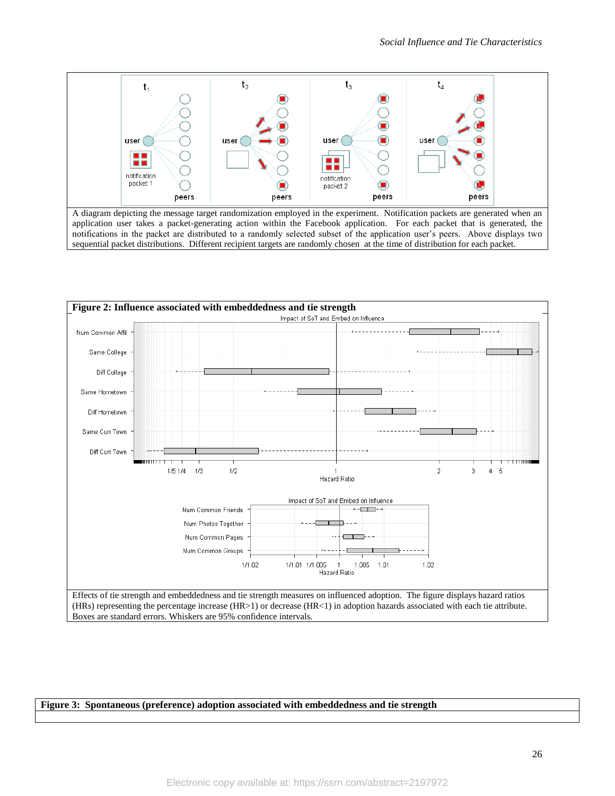



## **Figure 3: Spontaneous (preference) adoption associated with embeddedness and tie strength**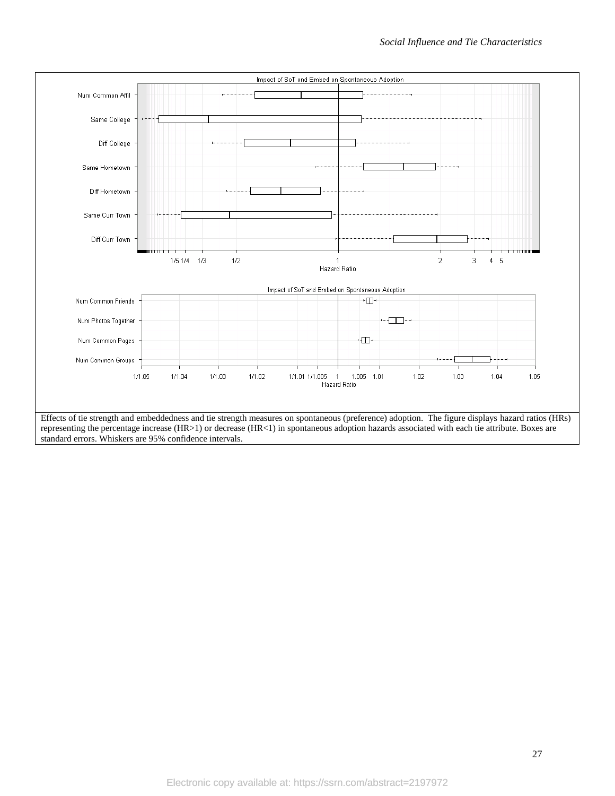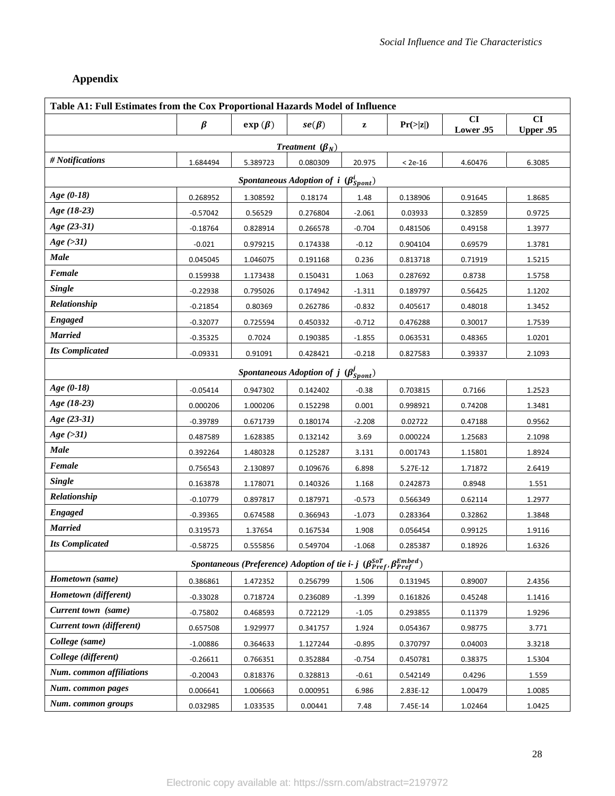## **Appendix**

| Table A1: Full Estimates from the Cox Proportional Hazards Model of Influence                     |            |              |                                                                 |          |           |                 |                 |
|---------------------------------------------------------------------------------------------------|------------|--------------|-----------------------------------------------------------------|----------|-----------|-----------------|-----------------|
|                                                                                                   | $\beta$    | $exp(\beta)$ | $se(\beta)$                                                     | z        | Pr(> z )  | CI<br>Lower .95 | CI<br>Upper .95 |
| <b>Treatment</b> $(\beta_N)$                                                                      |            |              |                                                                 |          |           |                 |                 |
| # Notifications                                                                                   | 1.684494   | 5.389723     | 0.080309                                                        | 20.975   | $<$ 2e-16 | 4.60476         | 6.3085          |
|                                                                                                   |            |              | Spontaneous Adoption of i $(\beta_{S\text{pont}}^i)$            |          |           |                 |                 |
| $Age(0-18)$                                                                                       | 0.268952   | 1.308592     | 0.18174                                                         | 1.48     | 0.138906  | 0.91645         | 1.8685          |
| Age (18-23)                                                                                       | $-0.57042$ | 0.56529      | 0.276804                                                        | $-2.061$ | 0.03933   | 0.32859         | 0.9725          |
| Age (23-31)                                                                                       | $-0.18764$ | 0.828914     | 0.266578                                                        | $-0.704$ | 0.481506  | 0.49158         | 1.3977          |
| Age( >31)                                                                                         | $-0.021$   | 0.979215     | 0.174338                                                        | $-0.12$  | 0.904104  | 0.69579         | 1.3781          |
| <b>Male</b>                                                                                       | 0.045045   | 1.046075     | 0.191168                                                        | 0.236    | 0.813718  | 0.71919         | 1.5215          |
| Female                                                                                            | 0.159938   | 1.173438     | 0.150431                                                        | 1.063    | 0.287692  | 0.8738          | 1.5758          |
| <b>Single</b>                                                                                     | $-0.22938$ | 0.795026     | 0.174942                                                        | $-1.311$ | 0.189797  | 0.56425         | 1.1202          |
| Relationship                                                                                      | $-0.21854$ | 0.80369      | 0.262786                                                        | $-0.832$ | 0.405617  | 0.48018         | 1.3452          |
| <b>Engaged</b>                                                                                    | $-0.32077$ | 0.725594     | 0.450332                                                        | $-0.712$ | 0.476288  | 0.30017         | 1.7539          |
| <b>Married</b>                                                                                    | $-0.35325$ | 0.7024       | 0.190385                                                        | $-1.855$ | 0.063531  | 0.48365         | 1.0201          |
| <b>Its Complicated</b>                                                                            | $-0.09331$ | 0.91091      | 0.428421                                                        | $-0.218$ | 0.827583  | 0.39337         | 2.1093          |
|                                                                                                   |            |              | Spontaneous Adoption of $j \left(\beta_{S\text{pont}}^j\right)$ |          |           |                 |                 |
| $Age(0-18)$                                                                                       | $-0.05414$ | 0.947302     | 0.142402                                                        | $-0.38$  | 0.703815  | 0.7166          | 1.2523          |
| Age (18-23)                                                                                       | 0.000206   | 1.000206     | 0.152298                                                        | 0.001    | 0.998921  | 0.74208         | 1.3481          |
| Age (23-31)                                                                                       | $-0.39789$ | 0.671739     | 0.180174                                                        | $-2.208$ | 0.02722   | 0.47188         | 0.9562          |
| Age( >31)                                                                                         | 0.487589   | 1.628385     | 0.132142                                                        | 3.69     | 0.000224  | 1.25683         | 2.1098          |
| Male                                                                                              | 0.392264   | 1.480328     | 0.125287                                                        | 3.131    | 0.001743  | 1.15801         | 1.8924          |
| Female                                                                                            | 0.756543   | 2.130897     | 0.109676                                                        | 6.898    | 5.27E-12  | 1.71872         | 2.6419          |
| <b>Single</b>                                                                                     | 0.163878   | 1.178071     | 0.140326                                                        | 1.168    | 0.242873  | 0.8948          | 1.551           |
| Relationship                                                                                      | $-0.10779$ | 0.897817     | 0.187971                                                        | $-0.573$ | 0.566349  | 0.62114         | 1.2977          |
| <b>Engaged</b>                                                                                    | $-0.39365$ | 0.674588     | 0.366943                                                        | $-1.073$ | 0.283364  | 0.32862         | 1.3848          |
| <b>Married</b>                                                                                    | 0.319573   | 1.37654      | 0.167534                                                        | 1.908    | 0.056454  | 0.99125         | 1.9116          |
| <b>Its Complicated</b>                                                                            | $-0.58725$ | 0.555856     | 0.549704                                                        | $-1.068$ | 0.285387  | 0.18926         | 1.6326          |
| Spontaneous (Preference) Adoption of tie <i>i</i> -j $(\beta_{Pref}^{S0T}, \beta_{Pref}^{Embed})$ |            |              |                                                                 |          |           |                 |                 |
| Hometown (same)                                                                                   | 0.386861   | 1.472352     | 0.256799                                                        | 1.506    | 0.131945  | 0.89007         | 2.4356          |
| Hometown (different)                                                                              | $-0.33028$ | 0.718724     | 0.236089                                                        | $-1.399$ | 0.161826  | 0.45248         | 1.1416          |
| Current town (same)                                                                               | $-0.75802$ | 0.468593     | 0.722129                                                        | $-1.05$  | 0.293855  | 0.11379         | 1.9296          |
| Current town (different)                                                                          | 0.657508   | 1.929977     | 0.341757                                                        | 1.924    | 0.054367  | 0.98775         | 3.771           |
| College (same)                                                                                    | $-1.00886$ | 0.364633     | 1.127244                                                        | $-0.895$ | 0.370797  | 0.04003         | 3.3218          |
| College (different)                                                                               | $-0.26611$ | 0.766351     | 0.352884                                                        | $-0.754$ | 0.450781  | 0.38375         | 1.5304          |
| Num. common affiliations                                                                          | $-0.20043$ | 0.818376     | 0.328813                                                        | $-0.61$  | 0.542149  | 0.4296          | 1.559           |
| Num. common pages                                                                                 | 0.006641   | 1.006663     | 0.000951                                                        | 6.986    | 2.83E-12  | 1.00479         | 1.0085          |
| Num. common groups                                                                                | 0.032985   | 1.033535     | 0.00441                                                         | 7.48     | 7.45E-14  | 1.02464         | 1.0425          |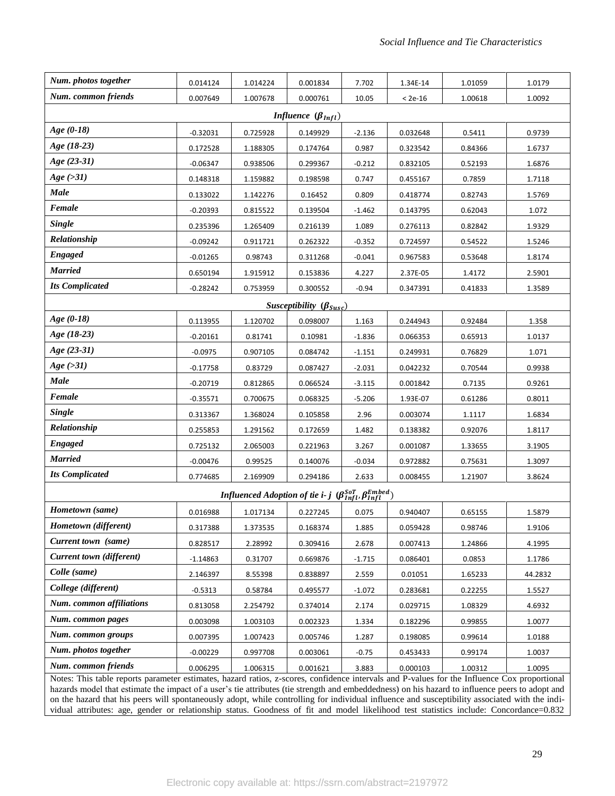| Num. photos together                                                                                                                                                                                                                                                                            | 0.014124   | 1.014224 | 0.001834 | 7.702    | 1.34E-14  | 1.01059 | 1.0179  |
|-------------------------------------------------------------------------------------------------------------------------------------------------------------------------------------------------------------------------------------------------------------------------------------------------|------------|----------|----------|----------|-----------|---------|---------|
| Num. common friends                                                                                                                                                                                                                                                                             | 0.007649   | 1.007678 | 0.000761 | 10.05    | $< 2e-16$ | 1.00618 | 1.0092  |
| Influence $(\beta_{Infl})$                                                                                                                                                                                                                                                                      |            |          |          |          |           |         |         |
| $Age(0-18)$                                                                                                                                                                                                                                                                                     | $-0.32031$ | 0.725928 | 0.149929 | $-2.136$ | 0.032648  | 0.5411  | 0.9739  |
| Age (18-23)                                                                                                                                                                                                                                                                                     | 0.172528   | 1.188305 | 0.174764 | 0.987    | 0.323542  | 0.84366 | 1.6737  |
| $Age (23-31)$                                                                                                                                                                                                                                                                                   | $-0.06347$ | 0.938506 | 0.299367 | $-0.212$ | 0.832105  | 0.52193 | 1.6876  |
| Age( >31)                                                                                                                                                                                                                                                                                       | 0.148318   | 1.159882 | 0.198598 | 0.747    | 0.455167  | 0.7859  | 1.7118  |
| <b>Male</b>                                                                                                                                                                                                                                                                                     | 0.133022   | 1.142276 | 0.16452  | 0.809    | 0.418774  | 0.82743 | 1.5769  |
| Female                                                                                                                                                                                                                                                                                          | $-0.20393$ | 0.815522 | 0.139504 | $-1.462$ | 0.143795  | 0.62043 | 1.072   |
| <b>Single</b>                                                                                                                                                                                                                                                                                   | 0.235396   | 1.265409 | 0.216139 | 1.089    | 0.276113  | 0.82842 | 1.9329  |
| Relationship                                                                                                                                                                                                                                                                                    | $-0.09242$ | 0.911721 | 0.262322 | $-0.352$ | 0.724597  | 0.54522 | 1.5246  |
| <b>Engaged</b>                                                                                                                                                                                                                                                                                  | $-0.01265$ | 0.98743  | 0.311268 | $-0.041$ | 0.967583  | 0.53648 | 1.8174  |
| <b>Married</b>                                                                                                                                                                                                                                                                                  | 0.650194   | 1.915912 | 0.153836 | 4.227    | 2.37E-05  | 1.4172  | 2.5901  |
| <b>Its Complicated</b>                                                                                                                                                                                                                                                                          | $-0.28242$ | 0.753959 | 0.300552 | $-0.94$  | 0.347391  | 0.41833 | 1.3589  |
| Susceptibility $(\beta_{Susc})$                                                                                                                                                                                                                                                                 |            |          |          |          |           |         |         |
| $Age(0-18)$                                                                                                                                                                                                                                                                                     | 0.113955   | 1.120702 | 0.098007 | 1.163    | 0.244943  | 0.92484 | 1.358   |
| $Age (18-23)$                                                                                                                                                                                                                                                                                   | $-0.20161$ | 0.81741  | 0.10981  | $-1.836$ | 0.066353  | 0.65913 | 1.0137  |
| $Age (23-31)$                                                                                                                                                                                                                                                                                   | $-0.0975$  | 0.907105 | 0.084742 | $-1.151$ | 0.249931  | 0.76829 | 1.071   |
| Age( >31)                                                                                                                                                                                                                                                                                       | $-0.17758$ | 0.83729  | 0.087427 | $-2.031$ | 0.042232  | 0.70544 | 0.9938  |
| <b>Male</b>                                                                                                                                                                                                                                                                                     | $-0.20719$ | 0.812865 | 0.066524 | $-3.115$ | 0.001842  | 0.7135  | 0.9261  |
| Female                                                                                                                                                                                                                                                                                          | $-0.35571$ | 0.700675 | 0.068325 | $-5.206$ | 1.93E-07  | 0.61286 | 0.8011  |
| <b>Single</b>                                                                                                                                                                                                                                                                                   | 0.313367   | 1.368024 | 0.105858 | 2.96     | 0.003074  | 1.1117  | 1.6834  |
| Relationship                                                                                                                                                                                                                                                                                    | 0.255853   | 1.291562 | 0.172659 | 1.482    | 0.138382  | 0.92076 | 1.8117  |
| <b>Engaged</b>                                                                                                                                                                                                                                                                                  | 0.725132   | 2.065003 | 0.221963 | 3.267    | 0.001087  | 1.33655 | 3.1905  |
| <b>Married</b>                                                                                                                                                                                                                                                                                  | $-0.00476$ | 0.99525  | 0.140076 | $-0.034$ | 0.972882  | 0.75631 | 1.3097  |
| <b>Its Complicated</b>                                                                                                                                                                                                                                                                          | 0.774685   | 2.169909 | 0.294186 | 2.633    | 0.008455  | 1.21907 | 3.8624  |
| Influenced Adoption of tie i-j $(\beta_{Infl}^{Sor} \beta_{Infl}^{Embed})$                                                                                                                                                                                                                      |            |          |          |          |           |         |         |
| Hometown (same)                                                                                                                                                                                                                                                                                 | 0.016988   | 1.017134 | 0.227245 | 0.075    | 0.940407  | 0.65155 | 1.5879  |
| Hometown (different)                                                                                                                                                                                                                                                                            | 0.317388   | 1.373535 | 0.168374 | 1.885    | 0.059428  | 0.98746 | 1.9106  |
| Current town (same)                                                                                                                                                                                                                                                                             | 0.828517   | 2.28992  | 0.309416 | 2.678    | 0.007413  | 1.24866 | 4.1995  |
| Current town (different)                                                                                                                                                                                                                                                                        | $-1.14863$ | 0.31707  | 0.669876 | $-1.715$ | 0.086401  | 0.0853  | 1.1786  |
| Colle (same)                                                                                                                                                                                                                                                                                    | 2.146397   | 8.55398  | 0.838897 | 2.559    | 0.01051   | 1.65233 | 44.2832 |
| College (different)                                                                                                                                                                                                                                                                             | $-0.5313$  | 0.58784  | 0.495577 | $-1.072$ | 0.283681  | 0.22255 | 1.5527  |
| Num. common affiliations                                                                                                                                                                                                                                                                        | 0.813058   | 2.254792 | 0.374014 | 2.174    | 0.029715  | 1.08329 | 4.6932  |
| Num. common pages                                                                                                                                                                                                                                                                               | 0.003098   | 1.003103 | 0.002323 | 1.334    | 0.182296  | 0.99855 | 1.0077  |
| Num. common groups                                                                                                                                                                                                                                                                              | 0.007395   | 1.007423 | 0.005746 | 1.287    | 0.198085  | 0.99614 | 1.0188  |
| Num. photos together                                                                                                                                                                                                                                                                            | $-0.00229$ | 0.997708 | 0.003061 | $-0.75$  | 0.453433  | 0.99174 | 1.0037  |
| Num. common friends                                                                                                                                                                                                                                                                             | 0.006295   | 1.006315 | 0.001621 | 3.883    | 0.000103  | 1.00312 | 1.0095  |
| Notes: This table reports parameter estimates, hazard ratios, z-scores, confidence intervals and P-values for the Influence Cox proportional<br>hazards model that estimate the impact of a user's tie attributes (tie strength and embeddedness) on his hazard to influence peers to adopt and |            |          |          |          |           |         |         |

on the hazard that his peers will spontaneously adopt, while controlling for individual influence and susceptibility associated with the individual attributes: age, gender or relationship status. Goodness of fit and model likelihood test statistics include: Concordance=0.832